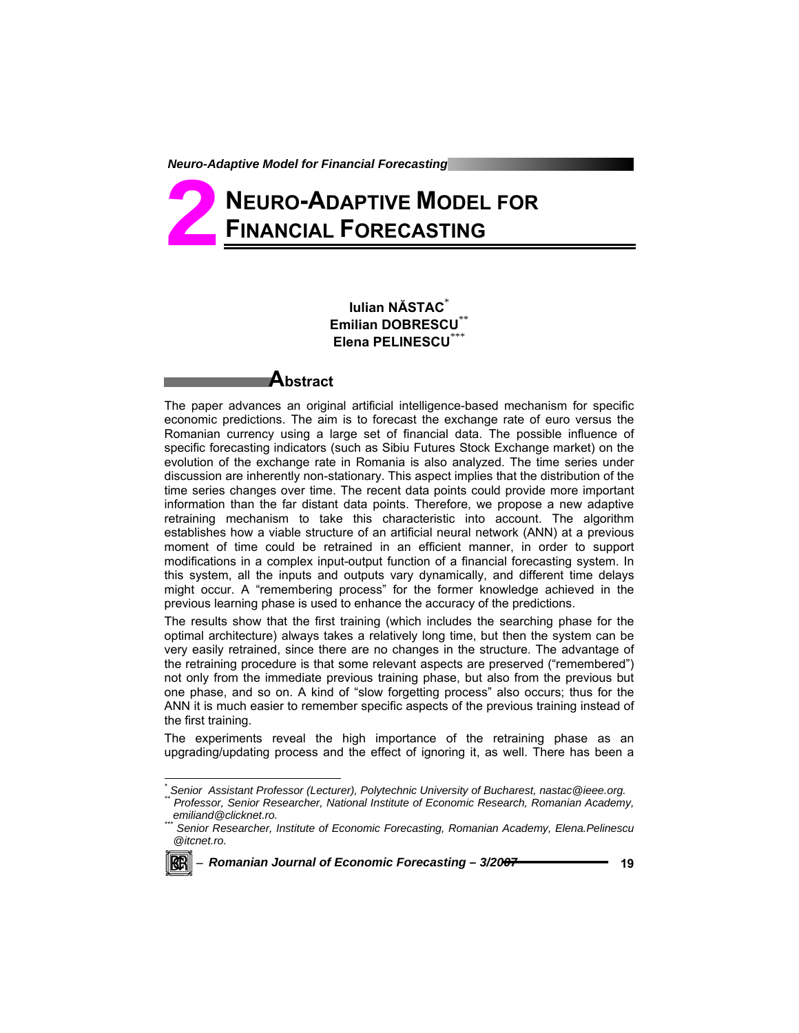# **NEURO-ADAPTIVE MODEL FOR FINANCIAL FORECASTING 2**

### **Iulian NĂSTAC**\* **Emilian DOBRESCU**\*\* **Elena PELINESCU**\*\*\*

### **Abstract**

The paper advances an original artificial intelligence-based mechanism for specific economic predictions. The aim is to forecast the exchange rate of euro versus the Romanian currency using a large set of financial data. The possible influence of specific forecasting indicators (such as Sibiu Futures Stock Exchange market) on the evolution of the exchange rate in Romania is also analyzed. The time series under discussion are inherently non-stationary. This aspect implies that the distribution of the time series changes over time. The recent data points could provide more important information than the far distant data points. Therefore, we propose a new adaptive retraining mechanism to take this characteristic into account. The algorithm establishes how a viable structure of an artificial neural network (ANN) at a previous moment of time could be retrained in an efficient manner, in order to support modifications in a complex input-output function of a financial forecasting system. In this system, all the inputs and outputs vary dynamically, and different time delays might occur. A "remembering process" for the former knowledge achieved in the previous learning phase is used to enhance the accuracy of the predictions.

The results show that the first training (which includes the searching phase for the optimal architecture) always takes a relatively long time, but then the system can be very easily retrained, since there are no changes in the structure. The advantage of the retraining procedure is that some relevant aspects are preserved ("remembered") not only from the immediate previous training phase, but also from the previous but one phase, and so on. A kind of "slow forgetting process" also occurs; thus for the ANN it is much easier to remember specific aspects of the previous training instead of the first training.

The experiments reveal the high importance of the retraining phase as an upgrading/updating process and the effect of ignoring it, as well. There has been a

*Senior Researcher, Institute of Economic Forecasting, Romanian Academy, Elena.Pelinescu @itcnet.ro.* 



l

*<sup>\*</sup> Senior Assistant Professor (Lecturer), Polytechnic University of Bucharest, nastac@ieee.org. \*\* Professor, Senior Researcher, National Institute of Economic Research, Romanian Academy,*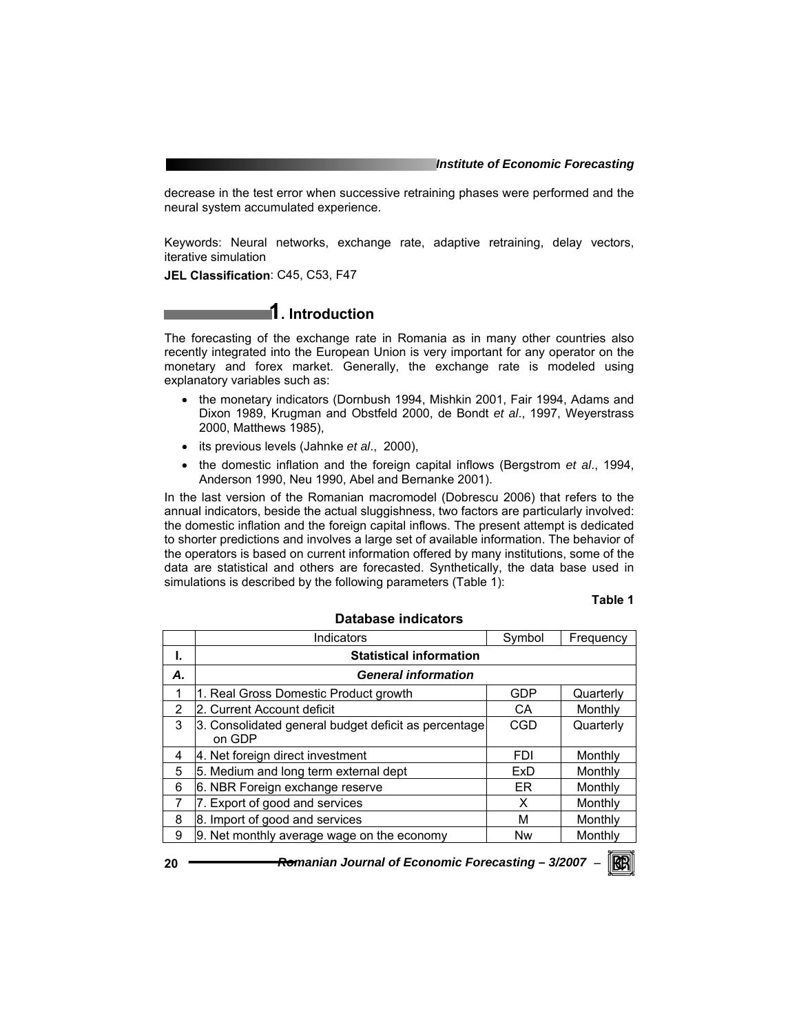decrease in the test error when successive retraining phases were performed and the neural system accumulated experience.

Keywords: Neural networks, exchange rate, adaptive retraining, delay vectors, iterative simulation

**JEL Classification**: C45, C53, F47

### **1. Introduction**

The forecasting of the exchange rate in Romania as in many other countries also recently integrated into the European Union is very important for any operator on the monetary and forex market. Generally, the exchange rate is modeled using explanatory variables such as:

- the monetary indicators (Dornbush 1994, Mishkin 2001, Fair 1994, Adams and Dixon 1989, Krugman and Obstfeld 2000, de Bondt *et al*., 1997, Weyerstrass 2000, Matthews 1985),
- its previous levels (Jahnke *et al*., 2000),
- the domestic inflation and the foreign capital inflows (Bergstrom *et al*., 1994, Anderson 1990, Neu 1990, Abel and Bernanke 2001).

In the last version of the Romanian macromodel (Dobrescu 2006) that refers to the annual indicators, beside the actual sluggishness, two factors are particularly involved: the domestic inflation and the foreign capital inflows. The present attempt is dedicated to shorter predictions and involves a large set of available information. The behavior of the operators is based on current information offered by many institutions, some of the data are statistical and others are forecasted. Synthetically, the data base used in simulations is described by the following parameters (Table 1):

**Database indicators** 

#### **Table 1**

|                | Indicators                                                     | Symbol     | Frequency |  |  |  |  |  |  |
|----------------|----------------------------------------------------------------|------------|-----------|--|--|--|--|--|--|
| ı.             | <b>Statistical information</b>                                 |            |           |  |  |  |  |  |  |
| А.             | <b>General information</b>                                     |            |           |  |  |  |  |  |  |
|                | 1. Real Gross Domestic Product growth                          | GDP        | Quarterly |  |  |  |  |  |  |
| $\overline{2}$ | l2. Current Account deficit                                    | CA         | Monthly   |  |  |  |  |  |  |
| 3              | 3. Consolidated general budget deficit as percentage<br>on GDP | CGD        | Quarterly |  |  |  |  |  |  |
| 4              | 4. Net foreign direct investment                               | <b>FDI</b> | Monthly   |  |  |  |  |  |  |
| 5              | 5. Medium and long term external dept                          | ExD        | Monthly   |  |  |  |  |  |  |
| 6              | 6. NBR Foreign exchange reserve                                | FR.        | Monthly   |  |  |  |  |  |  |
| 7              | 7. Export of good and services                                 | X          | Monthly   |  |  |  |  |  |  |
| 8              | 8. Import of good and services                                 | М          | Monthly   |  |  |  |  |  |  |
| 9              | 9. Net monthly average wage on the economy                     | Nw         | Monthly   |  |  |  |  |  |  |

**20** *Romanian Journal of Economic Forecasting – 3/2007* <sup>−</sup>

KRI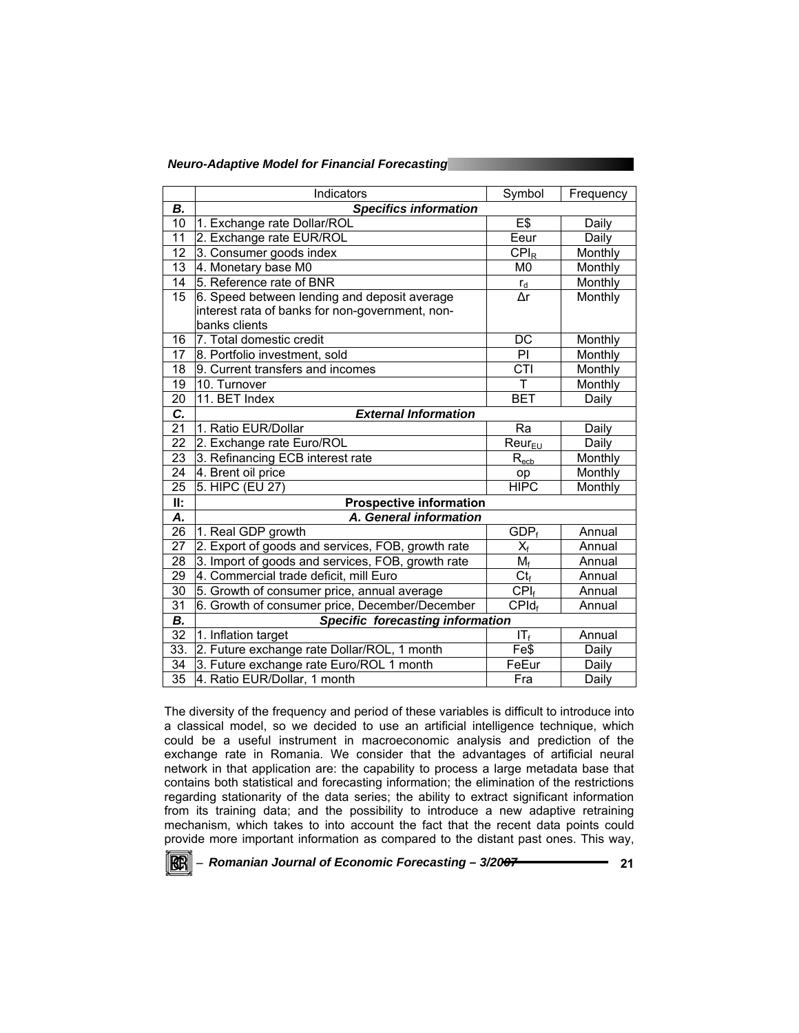| <b>Neuro-Adaptive Model for Financial Forecasting</b> |  |  |  |
|-------------------------------------------------------|--|--|--|
|-------------------------------------------------------|--|--|--|

|                 | Indicators                                        | Symbol                            | Frequency |  |  |  |  |  |
|-----------------|---------------------------------------------------|-----------------------------------|-----------|--|--|--|--|--|
| В.              | <b>Specifics information</b>                      |                                   |           |  |  |  |  |  |
| 10              | 1. Exchange rate Dollar/ROL                       | $E$ \$                            | Daily     |  |  |  |  |  |
| 11              | 2. Exchange rate EUR/ROL                          | Eeur                              | Daily     |  |  |  |  |  |
| 12              | 3. Consumer goods index                           | $CPI_R$                           | Monthly   |  |  |  |  |  |
| 13              | 4. Monetary base M0                               | M <sub>0</sub>                    | Monthly   |  |  |  |  |  |
| 14              | 5. Reference rate of BNR                          | $r_d$                             | Monthly   |  |  |  |  |  |
| 15              | 6. Speed between lending and deposit average      | Δr                                | Monthly   |  |  |  |  |  |
|                 | interest rata of banks for non-government, non-   |                                   |           |  |  |  |  |  |
|                 | banks clients                                     |                                   |           |  |  |  |  |  |
| 16              | 7. Total domestic credit                          | DC                                | Monthly   |  |  |  |  |  |
| 17              | 8. Portfolio investment, sold                     | PI                                | Monthly   |  |  |  |  |  |
| 18              | 9. Current transfers and incomes                  | CTI                               | Monthly   |  |  |  |  |  |
| 19              | 10. Turnover                                      | Τ                                 | Monthly   |  |  |  |  |  |
| 20              | 11. BET Index                                     | <b>BET</b>                        | Daily     |  |  |  |  |  |
| C.              | <b>External Information</b>                       |                                   |           |  |  |  |  |  |
| 21              | 1. Ratio EUR/Dollar                               | Ra                                | Daily     |  |  |  |  |  |
| 22              | 2. Exchange rate Euro/ROL                         | Reur <sub>EU</sub>                | Daily     |  |  |  |  |  |
| 23              | 3. Refinancing ECB interest rate                  | $R_{\underline{e}c\underline{b}}$ | Monthly   |  |  |  |  |  |
| 24              | 4. Brent oil price                                | op                                | Monthly   |  |  |  |  |  |
| $\overline{25}$ | 5. HIPC (EU 27)                                   | <b>HIPC</b>                       | Monthly   |  |  |  |  |  |
| II:             | <b>Prospective information</b>                    |                                   |           |  |  |  |  |  |
| Α.              | A. General information                            |                                   |           |  |  |  |  |  |
| $\overline{26}$ | 1. Real GDP growth                                | $GDP_f$                           | Annual    |  |  |  |  |  |
| 27              | 2. Export of goods and services, FOB, growth rate | $X_f$                             | Annual    |  |  |  |  |  |
| 28              | 3. Import of goods and services, FOB, growth rate | $M_f$                             | Annual    |  |  |  |  |  |
| 29              | 4. Commercial trade deficit, mill Euro            | $Ct_f$                            | Annual    |  |  |  |  |  |
| 30              | 5. Growth of consumer price, annual average       | CPI <sub>f</sub>                  | Annual    |  |  |  |  |  |
| 31              | 6. Growth of consumer price, December/December    | $CPId_f$                          | Annual    |  |  |  |  |  |
| В.              | <b>Specific forecasting information</b>           |                                   |           |  |  |  |  |  |
| $\overline{32}$ | 1. Inflation target                               | $IT_f$                            | Annual    |  |  |  |  |  |
| 33.             | 2. Future exchange rate Dollar/ROL, 1 month       | Fe\$                              | Daily     |  |  |  |  |  |
| 34              | 3. Future exchange rate Euro/ROL 1 month          | FeEur                             | Daily     |  |  |  |  |  |
| $\overline{35}$ | 4. Ratio EUR/Dollar, 1 month                      | Fra                               | Daily     |  |  |  |  |  |

The diversity of the frequency and period of these variables is difficult to introduce into a classical model, so we decided to use an artificial intelligence technique, which could be a useful instrument in macroeconomic analysis and prediction of the exchange rate in Romania. We consider that the advantages of artificial neural network in that application are: the capability to process a large metadata base that contains both statistical and forecasting information; the elimination of the restrictions regarding stationarity of the data series; the ability to extract significant information from its training data; and the possibility to introduce a new adaptive retraining mechanism, which takes to into account the fact that the recent data points could provide more important information as compared to the distant past ones. This way,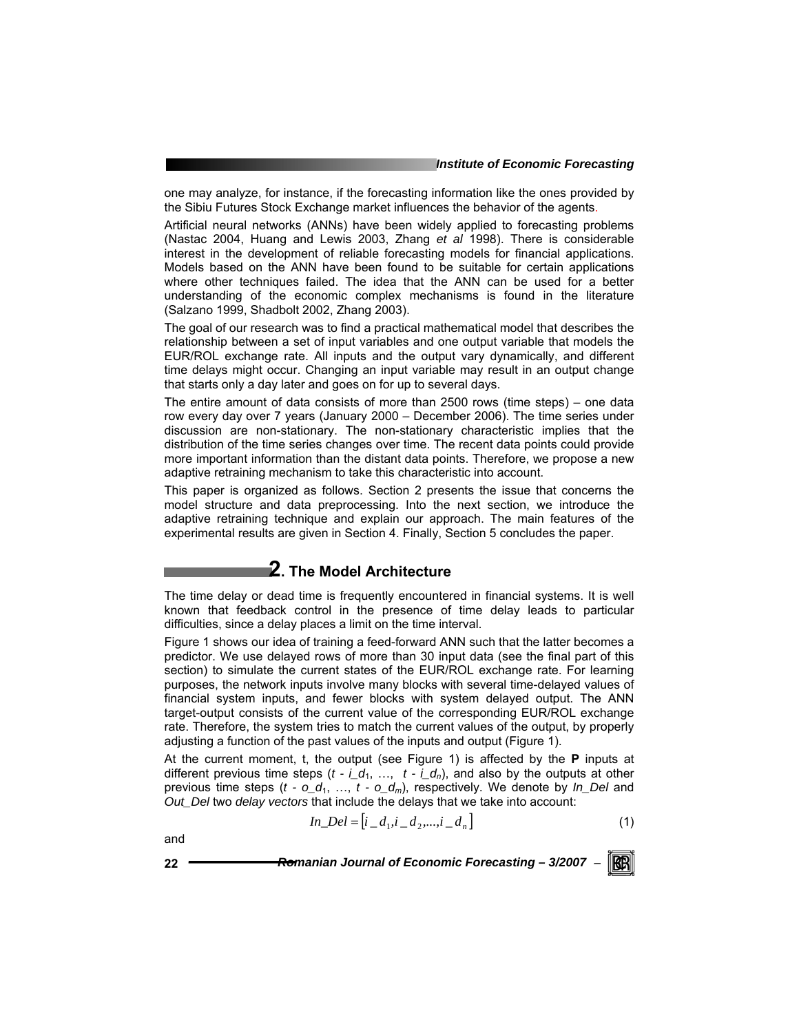one may analyze, for instance, if the forecasting information like the ones provided by the Sibiu Futures Stock Exchange market influences the behavior of the agents.

Artificial neural networks (ANNs) have been widely applied to forecasting problems (Nastac 2004, Huang and Lewis 2003, Zhang *et al* 1998). There is considerable interest in the development of reliable forecasting models for financial applications. Models based on the ANN have been found to be suitable for certain applications where other techniques failed. The idea that the ANN can be used for a better understanding of the economic complex mechanisms is found in the literature (Salzano 1999, Shadbolt 2002, Zhang 2003).

The goal of our research was to find a practical mathematical model that describes the relationship between a set of input variables and one output variable that models the EUR/ROL exchange rate. All inputs and the output vary dynamically, and different time delays might occur. Changing an input variable may result in an output change that starts only a day later and goes on for up to several days.

The entire amount of data consists of more than 2500 rows (time steps) – one data row every day over 7 years (January 2000 – December 2006). The time series under discussion are non-stationary. The non-stationary characteristic implies that the distribution of the time series changes over time. The recent data points could provide more important information than the distant data points. Therefore, we propose a new adaptive retraining mechanism to take this characteristic into account.

This paper is organized as follows. Section 2 presents the issue that concerns the model structure and data preprocessing. Into the next section, we introduce the adaptive retraining technique and explain our approach. The main features of the experimental results are given in Section 4. Finally, Section 5 concludes the paper.

### **2. The Model Architecture**

The time delay or dead time is frequently encountered in financial systems. It is well known that feedback control in the presence of time delay leads to particular difficulties, since a delay places a limit on the time interval.

Figure 1 shows our idea of training a feed-forward ANN such that the latter becomes a predictor. We use delayed rows of more than 30 input data (see the final part of this section) to simulate the current states of the EUR/ROL exchange rate. For learning purposes, the network inputs involve many blocks with several time-delayed values of financial system inputs, and fewer blocks with system delayed output. The ANN target-output consists of the current value of the corresponding EUR/ROL exchange rate. Therefore, the system tries to match the current values of the output, by properly adjusting a function of the past values of the inputs and output (Figure 1).

At the current moment, t, the output (see Figure 1) is affected by the **P** inputs at different previous time steps  $(t - i_d, ..., t - i_d)$ , and also by the outputs at other previous time steps (*t - o\_d*1, …, *t - o\_dm*), respectively. We denote by *In\_Del* and *Out\_Del* two *delay vectors* that include the delays that we take into account:

$$
In\_Del = [i\_d_1, i\_d_2, ..., i\_d_n]
$$
 (1)

and

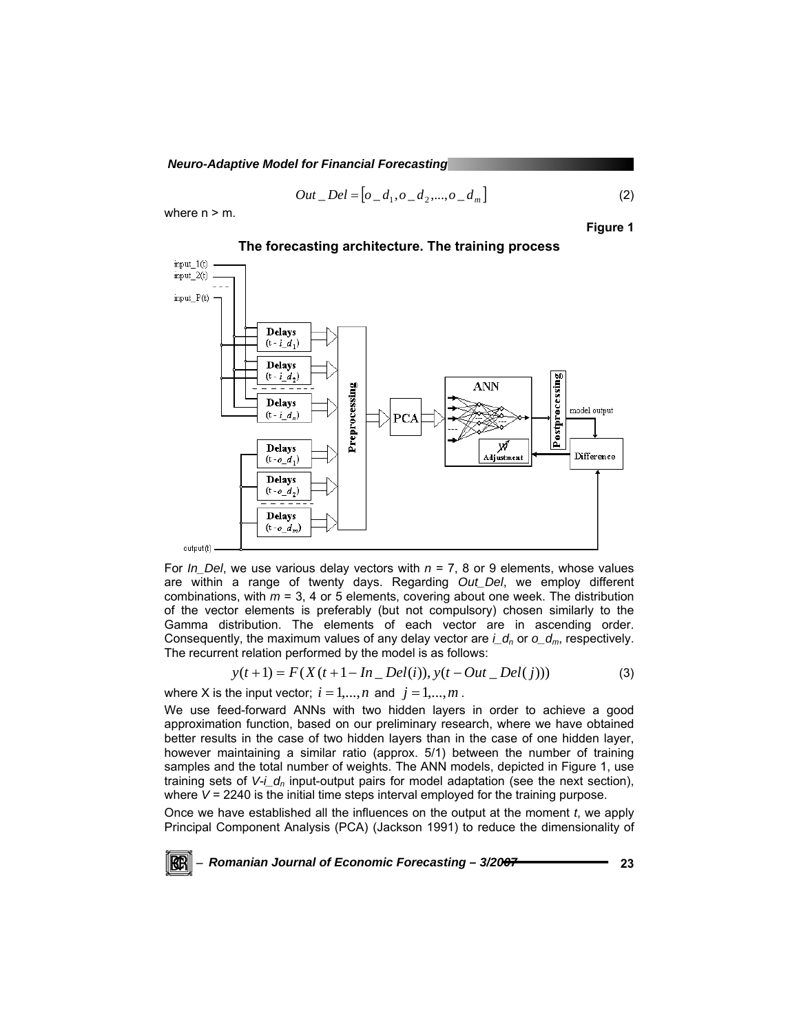$$
Out\_Del = [o\_d_1, o\_d_2, ..., o\_d_m]
$$
 (2)

where  $n > m$ .

KRI

**Figure 1** 



**The forecasting architecture. The training process** 

For *In\_Del*, we use various delay vectors with *n* = 7, 8 or 9 elements, whose values are within a range of twenty days. Regarding *Out\_Del*, we employ different combinations, with *m* = 3, 4 or 5 elements, covering about one week. The distribution of the vector elements is preferably (but not compulsory) chosen similarly to the Gamma distribution. The elements of each vector are in ascending order. Consequently, the maximum values of any delay vector are  $i_d$  or  $o_d$ <sub>m</sub>, respectively. The recurrent relation performed by the model is as follows:

$$
y(t+1) = F(X(t+1 - In\_Del(i)), y(t - Out\_Del(j)))
$$
\n(3)

where X is the input vector;  $i = 1,...,n$  and  $j = 1,...,m$ .

We use feed-forward ANNs with two hidden layers in order to achieve a good approximation function, based on our preliminary research, where we have obtained better results in the case of two hidden layers than in the case of one hidden layer, however maintaining a similar ratio (approx. 5/1) between the number of training samples and the total number of weights. The ANN models, depicted in Figure 1, use training sets of  $V \cdot \underline{\phantom{a}} d_n$  input-output pairs for model adaptation (see the next section), where  $V = 2240$  is the initial time steps interval employed for the training purpose.

Once we have established all the influences on the output at the moment *t*, we apply Principal Component Analysis (PCA) (Jackson 1991) to reduce the dimensionality of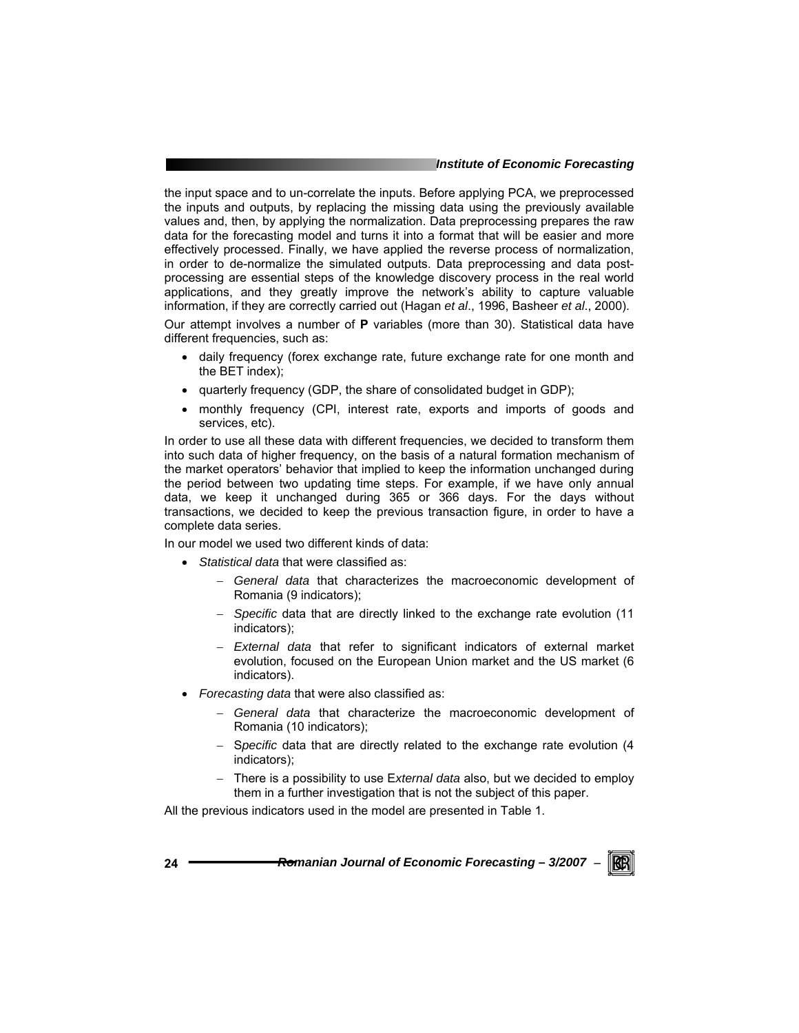#### *Institute of Economic Forecasting*

the input space and to un-correlate the inputs. Before applying PCA, we preprocessed the inputs and outputs, by replacing the missing data using the previously available values and, then, by applying the normalization. Data preprocessing prepares the raw data for the forecasting model and turns it into a format that will be easier and more effectively processed. Finally, we have applied the reverse process of normalization, in order to de-normalize the simulated outputs. Data preprocessing and data postprocessing are essential steps of the knowledge discovery process in the real world applications, and they greatly improve the network's ability to capture valuable information, if they are correctly carried out (Hagan *et al*., 1996, Basheer *et al*., 2000).

Our attempt involves a number of **P** variables (more than 30). Statistical data have different frequencies, such as:

- daily frequency (forex exchange rate, future exchange rate for one month and the BET index);
- quarterly frequency (GDP, the share of consolidated budget in GDP);
- monthly frequency (CPI, interest rate, exports and imports of goods and services, etc).

In order to use all these data with different frequencies, we decided to transform them into such data of higher frequency, on the basis of a natural formation mechanism of the market operators' behavior that implied to keep the information unchanged during the period between two updating time steps. For example, if we have only annual data, we keep it unchanged during 365 or 366 days. For the days without transactions, we decided to keep the previous transaction figure, in order to have a complete data series.

In our model we used two different kinds of data:

- *Statistical data* that were classified as:
	- − *General data* that characterizes the macroeconomic development of Romania (9 indicators);
	- − *Specific* data that are directly linked to the exchange rate evolution (11 indicators);
	- − *External data* that refer to significant indicators of external market evolution, focused on the European Union market and the US market (6 indicators).
- *Forecasting data* that were also classified as:
	- − *General data* that characterize the macroeconomic development of Romania (10 indicators);
	- − S*pecific* data that are directly related to the exchange rate evolution (4 indicators);
	- − There is a possibility to use E*xternal data* also, but we decided to employ them in a further investigation that is not the subject of this paper.

All the previous indicators used in the model are presented in Table 1.

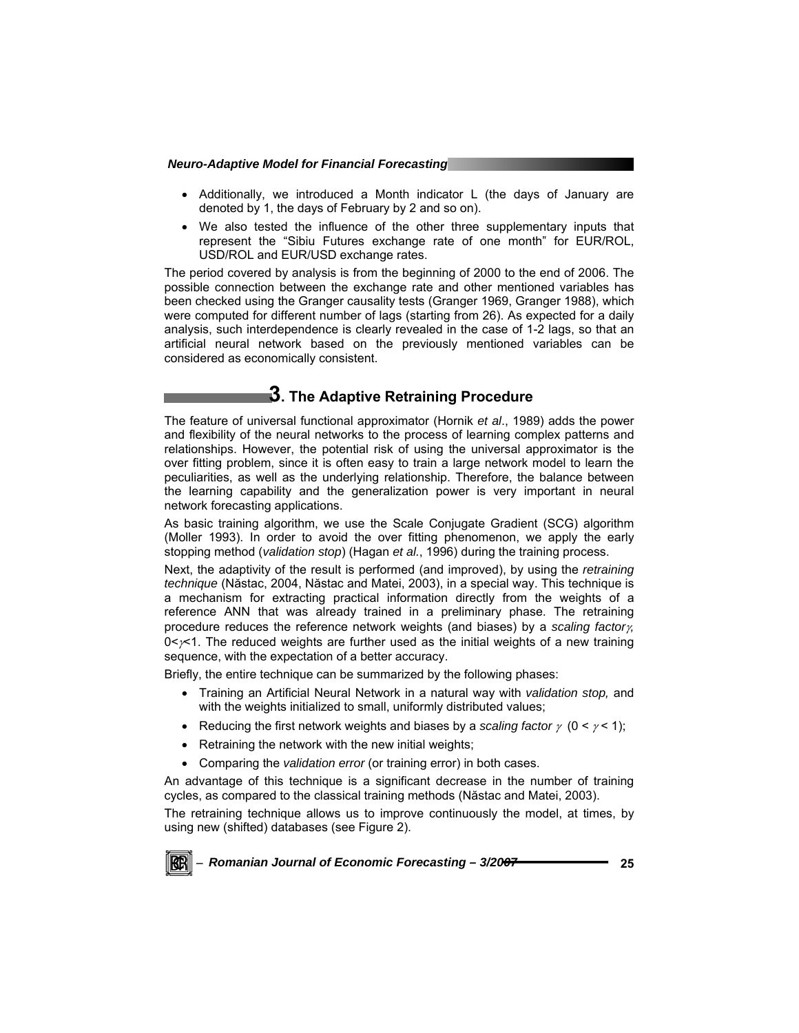- Additionally, we introduced a Month indicator L (the days of January are denoted by 1, the days of February by 2 and so on).
- We also tested the influence of the other three supplementary inputs that represent the "Sibiu Futures exchange rate of one month" for EUR/ROL, USD/ROL and EUR/USD exchange rates.

The period covered by analysis is from the beginning of 2000 to the end of 2006. The possible connection between the exchange rate and other mentioned variables has been checked using the Granger causality tests (Granger 1969, Granger 1988), which were computed for different number of lags (starting from 26). As expected for a daily analysis, such interdependence is clearly revealed in the case of 1-2 lags, so that an artificial neural network based on the previously mentioned variables can be considered as economically consistent.

### **3. The Adaptive Retraining Procedure**

The feature of universal functional approximator (Hornik *et al*., 1989) adds the power and flexibility of the neural networks to the process of learning complex patterns and relationships. However, the potential risk of using the universal approximator is the over fitting problem, since it is often easy to train a large network model to learn the peculiarities, as well as the underlying relationship. Therefore, the balance between the learning capability and the generalization power is very important in neural network forecasting applications.

As basic training algorithm, we use the Scale Conjugate Gradient (SCG) algorithm (Moller 1993). In order to avoid the over fitting phenomenon, we apply the early stopping method (*validation stop*) (Hagan *et al.*, 1996) during the training process.

Next, the adaptivity of the result is performed (and improved), by using the *retraining technique* (Năstac, 2004, Năstac and Matei, 2003), in a special way. This technique is a mechanism for extracting practical information directly from the weights of a reference ANN that was already trained in a preliminary phase. The retraining procedure reduces the reference network weights (and biases) by a *scaling factor*γ*,*  $0 \leq x \leq 1$ . The reduced weights are further used as the initial weights of a new training sequence, with the expectation of a better accuracy.

Briefly, the entire technique can be summarized by the following phases:

- Training an Artificial Neural Network in a natural way with *validation stop,* and with the weights initialized to small, uniformly distributed values;
- Reducing the first network weights and biases by a *scaling factor*  $\gamma$  (0 <  $\gamma$  < 1);
- Retraining the network with the new initial weights;
- Comparing the *validation error* (or training error) in both cases.

An advantage of this technique is a significant decrease in the number of training cycles, as compared to the classical training methods (Năstac and Matei, 2003).

The retraining technique allows us to improve continuously the model, at times, by using new (shifted) databases (see Figure 2).

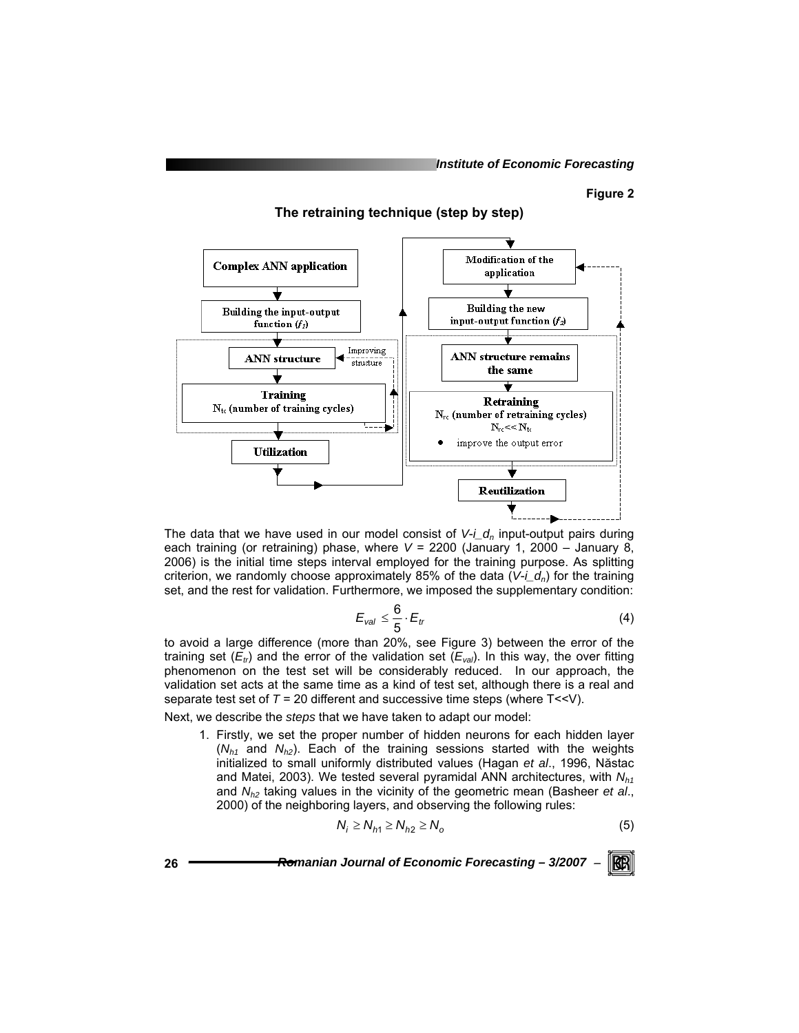#### **Figure 2**

**The retraining technique (step by step)** 



The data that we have used in our model consist of  $V - I_d$ <sub>n</sub> input-output pairs during each training (or retraining) phase, where *V* = 2200 (January 1, 2000 – January 8, 2006) is the initial time steps interval employed for the training purpose. As splitting criterion, we randomly choose approximately 85% of the data  $(V-I_d<sub>n</sub>)$  for the training set, and the rest for validation. Furthermore, we imposed the supplementary condition:

$$
E_{val} \leq \frac{6}{5} \cdot E_t \tag{4}
$$

to avoid a large difference (more than 20%, see Figure 3) between the error of the training set  $(E_{tr})$  and the error of the validation set  $(E_{val})$ . In this way, the over fitting phenomenon on the test set will be considerably reduced. In our approach, the validation set acts at the same time as a kind of test set, although there is a real and separate test set of *T* = 20 different and successive time steps (where T<<V).

Next, we describe the *steps* that we have taken to adapt our model:

1. Firstly, we set the proper number of hidden neurons for each hidden layer  $(N<sub>h1</sub>$  and  $N<sub>h2</sub>)$ . Each of the training sessions started with the weights initialized to small uniformly distributed values (Hagan *et al*., 1996, Năstac and Matei, 2003). We tested several pyramidal ANN architectures, with *N<sub>h1</sub>* and *Nh2* taking values in the vicinity of the geometric mean (Basheer *et al*., 2000) of the neighboring layers, and observing the following rules:

$$
N_i \ge N_{h1} \ge N_{h2} \ge N_o \tag{5}
$$

KB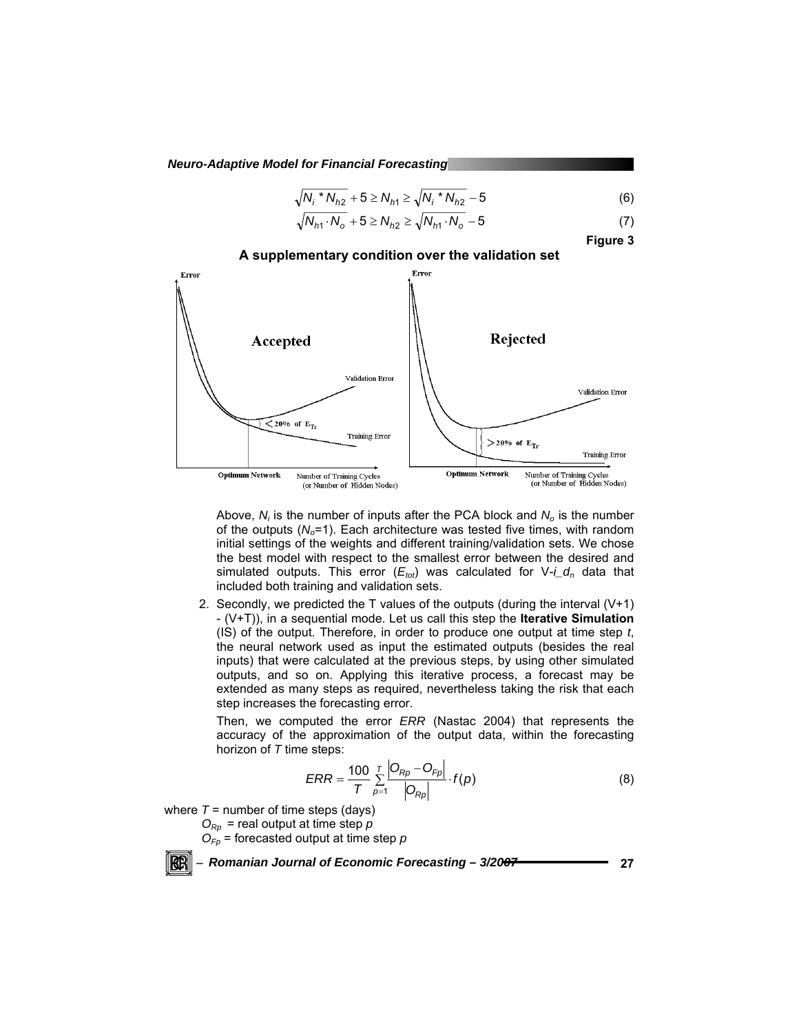$$
\sqrt{{N_i}^* N_{h2}} + 5 \ge N_{h1} \ge \sqrt{{N_i}^* N_{h2}} - 5
$$
 (6)

$$
\sqrt{N_{h1} \cdot N_o} + 5 \ge N_{h2} \ge \sqrt{N_{h1} \cdot N_o} - 5
$$
 (7)

**Figure 3** 



Above, N<sub>i</sub> is the number of inputs after the PCA block and N<sub>o</sub> is the number of the outputs  $(N<sub>o</sub>=1)$ . Each architecture was tested five times, with random initial settings of the weights and different training/validation sets. We chose the best model with respect to the smallest error between the desired and simulated outputs. This error  $(E_{tot})$  was calculated for  $V \text{-} i\_d_n$  data that included both training and validation sets.

2. Secondly, we predicted the T values of the outputs (during the interval (V+1) - (V+T)), in a sequential mode. Let us call this step the **Iterative Simulation** (IS) of the output. Therefore, in order to produce one output at time step *t*, the neural network used as input the estimated outputs (besides the real inputs) that were calculated at the previous steps, by using other simulated outputs, and so on. Applying this iterative process, a forecast may be extended as many steps as required, nevertheless taking the risk that each step increases the forecasting error.

Then, we computed the error *ERR* (Nastac 2004) that represents the accuracy of the approximation of the output data, within the forecasting horizon of *T* time steps:

$$
ERR = \frac{100}{T} \sum_{p=1}^{T} \frac{|O_{Rp} - O_{Fp}|}{|O_{Rp}|} \cdot f(p)
$$
 (8)

where  $T =$  number of time steps (days)

 $O_{Rp}$  = real output at time step  $p$ 

 $O_{F_p}$  = forecasted output at time step  $p$ 

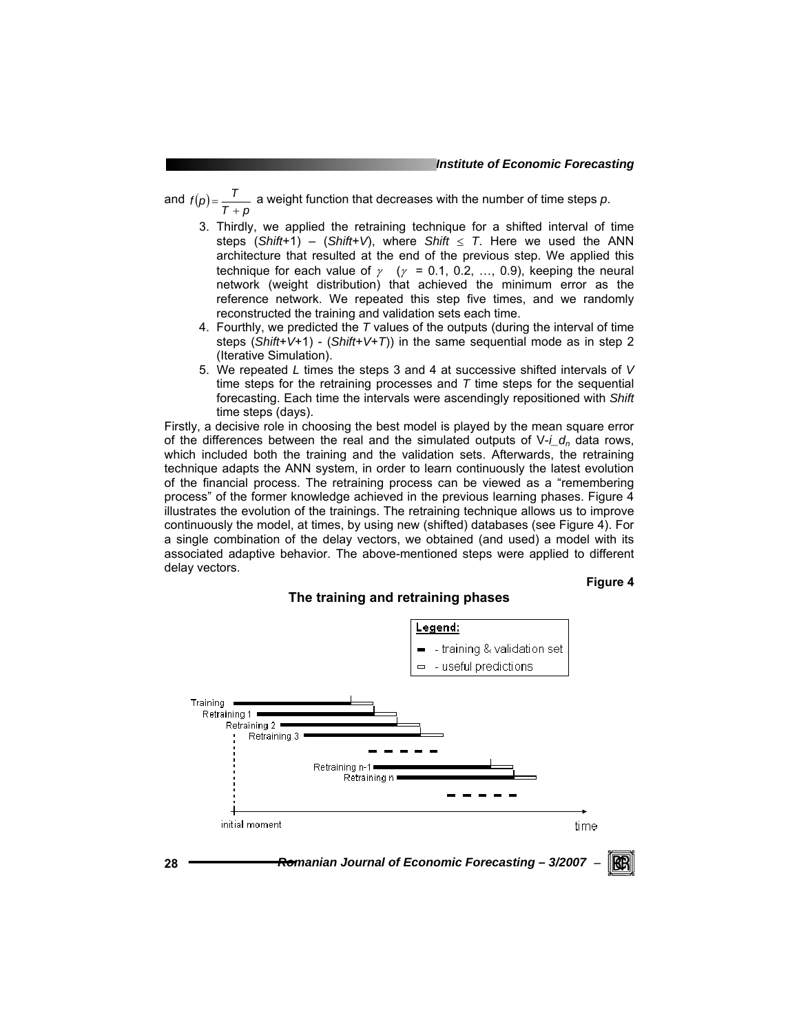and  $f(p) = \frac{T}{T+p}$  a weight function that decreases with the number of time steps *p*.

- 3. Thirdly, we applied the retraining technique for a shifted interval of time steps (*Shift*+1) – (*Shift*+*V*), where *Shift*  $\leq$  *T*. Here we used the ANN architecture that resulted at the end of the previous step. We applied this technique for each value of  $\gamma$  ( $\gamma$  = 0.1, 0.2, ..., 0.9), keeping the neural network (weight distribution) that achieved the minimum error as the reference network. We repeated this step five times, and we randomly reconstructed the training and validation sets each time.
- 4. Fourthly, we predicted the *T* values of the outputs (during the interval of time steps (*Shift*+*V*+1) - (*Shift*+*V*+*T*)) in the same sequential mode as in step 2 (Iterative Simulation).
- 5. We repeated *L* times the steps 3 and 4 at successive shifted intervals of *V* time steps for the retraining processes and *T* time steps for the sequential forecasting. Each time the intervals were ascendingly repositioned with *Shift* time steps (days).

Firstly, a decisive role in choosing the best model is played by the mean square error of the differences between the real and the simulated outputs of V-*i\_dn* data rows, which included both the training and the validation sets. Afterwards, the retraining technique adapts the ANN system, in order to learn continuously the latest evolution of the financial process. The retraining process can be viewed as a "remembering process" of the former knowledge achieved in the previous learning phases. Figure 4 illustrates the evolution of the trainings. The retraining technique allows us to improve continuously the model, at times, by using new (shifted) databases (see Figure 4). For a single combination of the delay vectors, we obtained (and used) a model with its associated adaptive behavior. The above-mentioned steps were applied to different delay vectors.

#### **Figure 4**

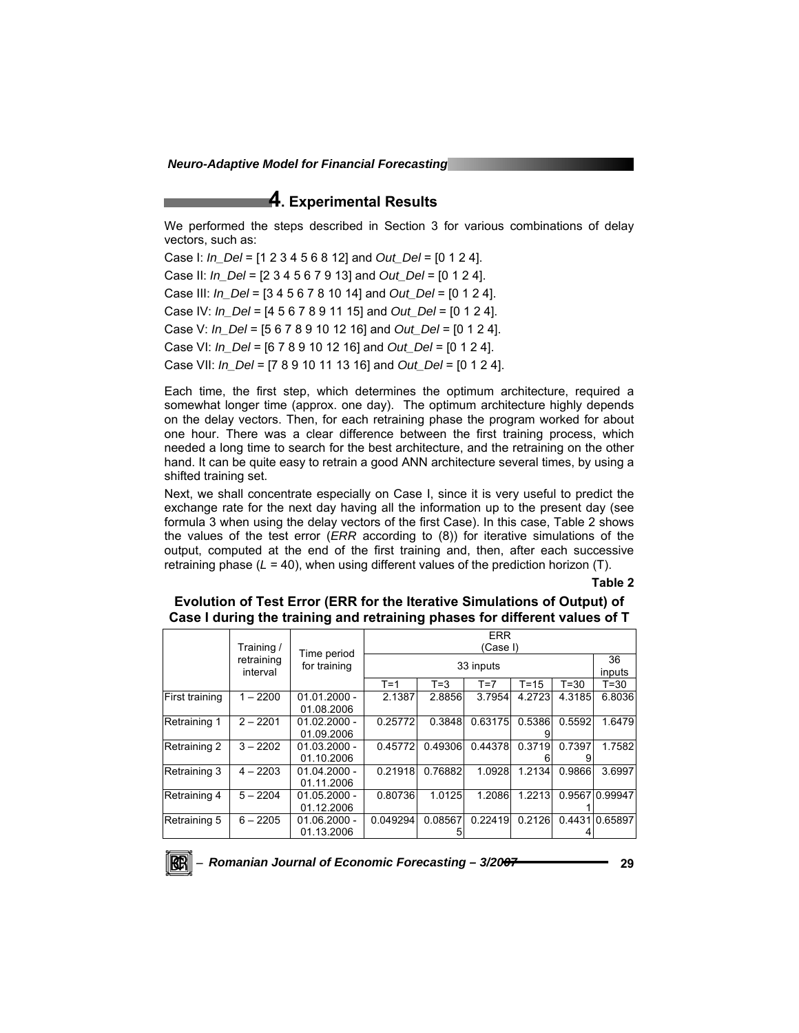### **4. Experimental Results**

We performed the steps described in Section 3 for various combinations of delay vectors, such as:

Case I: *In\_Del* = [1 2 3 4 5 6 8 12] and *Out\_Del* = [0 1 2 4]. Case II: *In\_Del* = [2 3 4 5 6 7 9 13] and *Out\_Del* = [0 1 2 4]. Case III: *In\_Del* = [3 4 5 6 7 8 10 14] and *Out\_Del* = [0 1 2 4]. Case IV: *In\_Del* = [4 5 6 7 8 9 11 15] and *Out\_Del* = [0 1 2 4]. Case V: *In\_Del* = [5 6 7 8 9 10 12 16] and *Out\_Del* = [0 1 2 4]. Case VI: *In\_Del* = [6 7 8 9 10 12 16] and *Out\_Del* = [0 1 2 4]. Case VII: *In\_Del* = [7 8 9 10 11 13 16] and *Out\_Del* = [0 1 2 4].

Each time, the first step, which determines the optimum architecture, required a somewhat longer time (approx. one day). The optimum architecture highly depends on the delay vectors. Then, for each retraining phase the program worked for about one hour. There was a clear difference between the first training process, which needed a long time to search for the best architecture, and the retraining on the other hand. It can be quite easy to retrain a good ANN architecture several times, by using a shifted training set.

Next, we shall concentrate especially on Case I, since it is very useful to predict the exchange rate for the next day having all the information up to the present day (see formula 3 when using the delay vectors of the first Case). In this case, Table 2 shows the values of the test error (*ERR* according to (8)) for iterative simulations of the output, computed at the end of the first training and, then, after each successive retraining phase  $(L = 40)$ , when using different values of the prediction horizon  $(T)$ .

**Table 2** 

**Evolution of Test Error (ERR for the Iterative Simulations of Output) of Case I during the training and retraining phases for different values of T** 

|                | Training /             |                              | <b>ERR</b><br>(Case I)      |              |           |        |        |                |  |
|----------------|------------------------|------------------------------|-----------------------------|--------------|-----------|--------|--------|----------------|--|
|                | retraining<br>interval |                              | Time period<br>for training |              | 33 inputs |        |        |                |  |
|                |                        |                              | $T = 1$                     | $T = 3$      | $T=7$     | T=15   | $T=30$ | T=30           |  |
| First training | $1 - 2200$             | $01.01.2000 -$<br>01.08.2006 | 2.1387                      | 2.8856       | 3.7954    | 4.2723 | 4.3185 | 6.8036         |  |
| Retraining 1   | $2 - 2201$             | $01.02.2000 -$<br>01.09.2006 | 0.25772                     | 0.3848       | 0.63175   | 0.5386 | 0.5592 | 1.6479         |  |
| Retraining 2   | $3 - 2202$             | $01.03.2000 -$<br>01.10.2006 | 0.45772                     | 0.49306      | 0.44378   | 0.3719 | 0.7397 | 1.7582         |  |
| Retraining 3   | $4 - 2203$             | $01.04.2000 -$<br>01.11.2006 | 0.21918                     | 0.76882      | 1.0928    | 1.2134 | 0.9866 | 3.6997         |  |
| Retraining 4   | $5 - 2204$             | $01.05.2000 -$<br>01.12.2006 | 0.80736                     | 1.0125       | 1.2086    | 1.2213 |        | 0.956710.99947 |  |
| Retraining 5   | $6 - 2205$             | $01.06.2000 -$<br>01.13.2006 | 0.049294                    | 0.08567<br>ы | 0.22419   | 0.2126 |        | 0.4431 0.65897 |  |

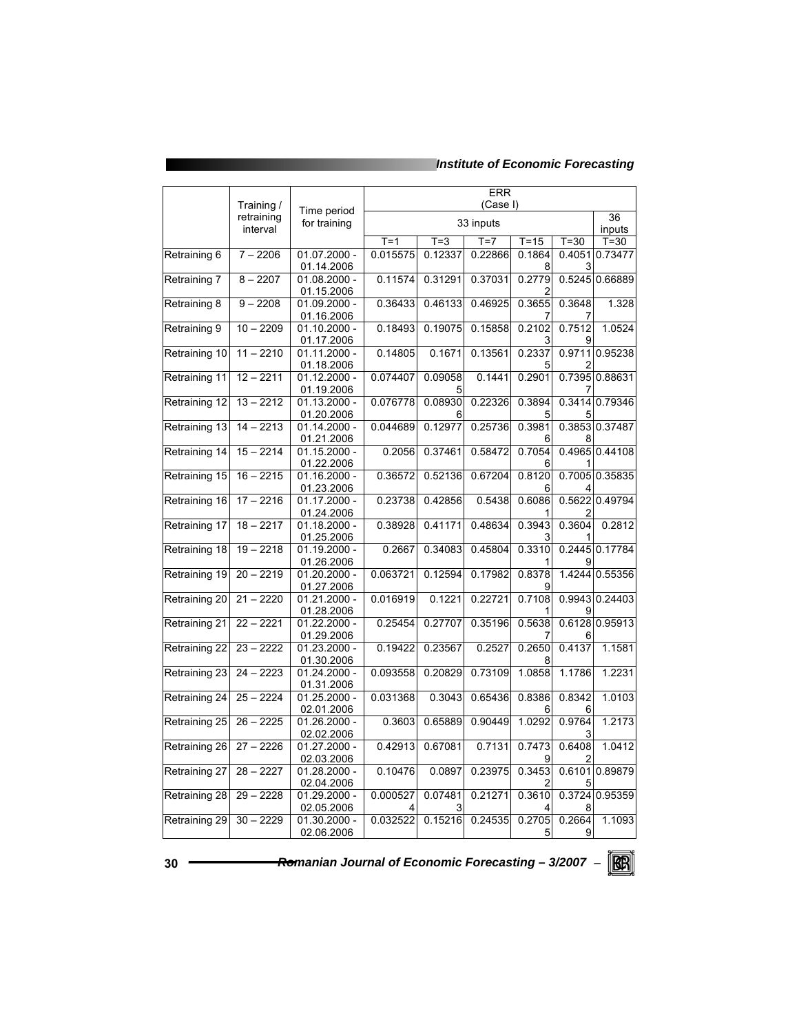### *Institute of Economic Forecasting*

|               | Training /             | Time period                  | <b>ERR</b><br>(Case I) |                    |                  |                    |                  |                   |
|---------------|------------------------|------------------------------|------------------------|--------------------|------------------|--------------------|------------------|-------------------|
|               | retraining<br>interval | for training                 |                        |                    | 33 inputs        |                    |                  | 36<br>inputs      |
| Retraining 6  | $7 - 2206$             | 01.07.2000 -                 | $T = 1$<br>0.015575    | $T = 3$<br>0.12337 | $T=7$<br>0.22866 | $T = 15$<br>0.1864 | $T=30$<br>0.4051 | $T=30$<br>0.73477 |
|               |                        | 01.14.2006                   |                        |                    |                  | 8                  | 3                |                   |
| Retraining 7  | $8 - 2207$             | $01.08.2000 -$<br>01.15.2006 | 0.11574                | 0.31291            | 0.37031          | 0.2779             |                  | 0.5245 0.66889    |
| Retraining 8  | $\overline{9} - 2208$  | 01.09.2000 -<br>01.16.2006   | 0.36433                | 0.46133            | 0.46925          | 0.3655<br>7        | 0.3648           | 1.328             |
| Retraining 9  | $10 - 2209$            | $01.10.2000 -$<br>01.17.2006 | 0.18493                | 0.19075            | 0.15858          | 0.2102<br>3        | 0.7512           | 1.0524            |
| Retraining 10 | $11 - 2210$            | 01.11.2000 -<br>01.18.2006   | 0.14805                | 0.1671             | 0.13561          | 0.2337<br>5        | 0.9711           | 0.95238           |
| Retraining 11 | $12 - 2211$            | $01.12.2000 -$<br>01.19.2006 | 0.074407               | 0.09058<br>5       | 0.1441           | 0.2901             | 0.7395           | 0.88631           |
| Retraining 12 | $13 - 2212$            | 01.13.2000 -<br>01.20.2006   | 0.076778               | 0.08930            | 0.22326          | 0.3894<br>5        | 0.3414           | 0.79346           |
| Retraining 13 | $14 - 2213$            | $01.14.2000 -$<br>01.21.2006 | 0.044689               | 0.12977            | 0.25736          | 0.3981<br>6        |                  | 0.3853 0.37487    |
| Retraining 14 | $15 - 2214$            | 01.15.2000 -<br>01.22.2006   | 0.2056                 | 0.37461            | 0.58472          | 0.7054<br>6        | 0.4965           | 0.44108           |
| Retraining 15 | $16 - 2215$            | $01.16.2000 -$<br>01.23.2006 | 0.36572                | 0.52136            | 0.67204          | 0.8120<br>6        | 0.7005           | 0.35835           |
| Retraining 16 | $17 - 2216$            | 01.17.2000 -<br>01.24.2006   | 0.23738                | 0.42856            | 0.5438           | 0.6086<br>1        | 0.5622<br>2      | 0.49794           |
| Retraining 17 | $18 - 2217$            | $01.18.2000 -$<br>01.25.2006 | 0.38928                | 0.41171            | 0.48634          | 0.3943<br>3        | 0.3604           | 0.2812            |
| Retraining 18 | $19 - 2218$            | $01.19.2000 -$<br>01.26.2006 | 0.2667                 | 0.34083            | 0.45804          | 0.3310             | 0.2445           | 0.17784           |
| Retraining 19 | $20 - 2219$            | $01.20.2000 -$<br>01.27.2006 | 0.063721               | 0.12594            | 0.17982          | 0.8378<br>9        | 1.4244           | 0.55356           |
| Retraining 20 | $21 - 2220$            | $01.21.2000 -$<br>01.28.2006 | 0.016919               | 0.1221             | 0.22721          | 0.7108             | 0.9943           | 0.24403           |
| Retraining 21 | $22 - 2221$            | $01.22.2000 -$<br>01.29.2006 | 0.25454                | 0.27707            | 0.35196          | 0.5638<br>7        | 0.6128<br>6      | 0.95913           |
| Retraining 22 | $23 - 2222$            | 01.23.2000 -<br>01.30.2006   | 0.19422                | 0.23567            | 0.2527           | 0.2650<br>8        | 0.4137           | 1.1581            |
| Retraining 23 | $24 - 2223$            | 01.24.2000 -<br>01.31.2006   | 0.093558               | 0.20829            | 0.73109          | 1.0858             | 1.1786           | 1.2231            |
| Retraining 24 | $25 - 2224$            | 01.25.2000 -<br>02.01.2006   | 0.031368               | 0.3043             | 0.65436          | 0.8386<br>6        | 0.8342<br>6      | 1.0103            |
| Retraining 25 | $26 - 2225$            | 01.26.2000 -<br>02.02.2006   | 0.3603                 | 0.65889            | 0.90449          | 1.0292             | 0.9764           | 1.2173            |
| Retraining 26 | $27 - 2226$            | 01.27.2000 -<br>02.03.2006   | 0.42913                | 0.67081            | 0.7131           | 0.7473<br>9        | 0.6408<br>2      | 1.0412            |
| Retraining 27 | $28 - 2227$            | 01.28.2000 -<br>02.04.2006   | 0.10476                | 0.0897             | 0.23975          | 0.3453<br>2        | 0.6101           | 0.89879           |
| Retraining 28 | $29 - 2228$            | 01.29.2000 -<br>02.05.2006   | 0.000527               | 0.07481            | 0.21271          | 0.3610             | 0.3724           | 0.95359           |
| Retraining 29 | $30 - 2229$            | 01.30.2000 -<br>02.06.2006   | 0.032522               | 0.15216            | 0.24535          | 0.2705<br>5        | 0.2664<br>9      | 1.1093            |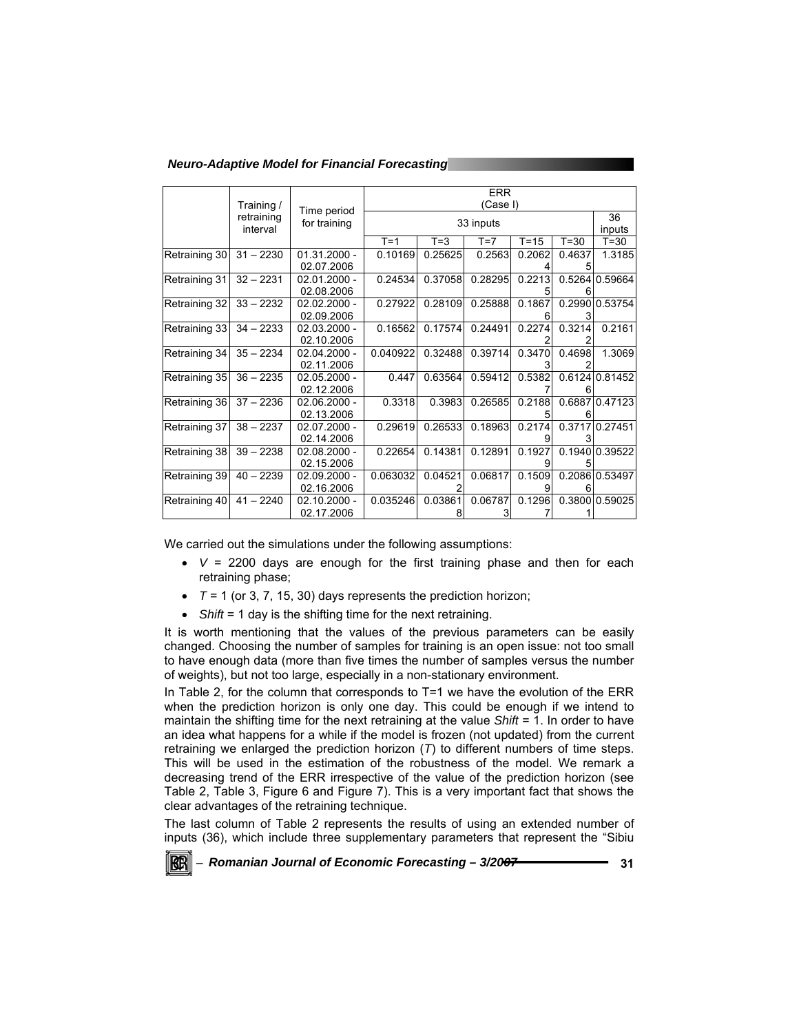*Neuro-Adaptive Model for Financial Forecasting* 

|               | Training /             |                              | <b>ERR</b><br>(Case I) |         |              |          |              |                |
|---------------|------------------------|------------------------------|------------------------|---------|--------------|----------|--------------|----------------|
|               | retraining<br>interval | Time period<br>for training  | 33 inputs              |         |              |          | 36<br>inputs |                |
|               |                        |                              | $T = 1$                | $T = 3$ | $T=7$        | $T = 15$ | $T=30$       | $T = 30$       |
| Retraining 30 | $31 - 2230$            | $01.31.2000 -$<br>02.07.2006 | 0.10169                | 0.25625 | 0.2563       | 0.2062   | 0.4637       | 1.3185         |
| Retraining 31 | $32 - 2231$            | $02.01.2000 -$<br>02.08.2006 | 0.24534                | 0.37058 | 0.28295      | 0.2213   | 0.5264       | 0.59664        |
| Retraining 32 | $33 - 2232$            | $02.02.2000 -$<br>02.09.2006 | 0.27922                | 0.28109 | 0.25888      | 0.1867   |              | 0.2990 0.53754 |
| Retraining 33 | $34 - 2233$            | $02.03.2000 -$<br>02.10.2006 | 0.16562                | 0.17574 | 0.24491      | 0.2274   | 0.3214       | 0.2161         |
| Retraining 34 | $35 - 2234$            | $02.04.2000 -$<br>02.11.2006 | 0.040922               | 0.32488 | 0.39714      | 0.3470   | 0.4698       | 1.3069         |
| Retraining 35 | $36 - 2235$            | $02.05.2000 -$<br>02.12.2006 | 0.447                  | 0.63564 | 0.59412      | 0.5382   |              | 0.6124 0.81452 |
| Retraining 36 | $37 - 2236$            | $02.06.2000 -$<br>02.13.2006 | 0.3318                 | 0.3983  | 0.26585      | 0.2188   |              | 0.6887 0.47123 |
| Retraining 37 | $38 - 2237$            | $02.07.2000 -$<br>02.14.2006 | 0.29619                | 0.26533 | 0.18963      | 0.2174   |              | 0.3717 0.27451 |
| Retraining 38 | $39 - 2238$            | $02.08.2000 -$<br>02.15.2006 | 0.22654                | 0.14381 | 0.12891      | 0.1927   | 0.1940       | 0.39522        |
| Retraining 39 | $40 - 2239$            | $02.09.2000 -$<br>02.16.2006 | 0.063032               | 0.04521 | 0.06817      | 0.1509   |              | 0.2086 0.53497 |
| Retraining 40 | $41 - 2240$            | $02.10.2000 -$<br>02.17.2006 | 0.035246               | 0.03861 | 0.06787<br>3 | 0.1296   |              | 0.3800 0.59025 |

We carried out the simulations under the following assumptions:

- $\bullet$   $V = 2200$  days are enough for the first training phase and then for each retraining phase;
- $\overline{r}$   $\overline{r}$  = 1 (or 3, 7, 15, 30) days represents the prediction horizon;
- *Shift* = 1 day is the shifting time for the next retraining.

It is worth mentioning that the values of the previous parameters can be easily changed. Choosing the number of samples for training is an open issue: not too small to have enough data (more than five times the number of samples versus the number of weights), but not too large, especially in a non-stationary environment.

In Table 2, for the column that corresponds to T=1 we have the evolution of the ERR when the prediction horizon is only one day. This could be enough if we intend to maintain the shifting time for the next retraining at the value *Shift* = 1. In order to have an idea what happens for a while if the model is frozen (not updated) from the current retraining we enlarged the prediction horizon (*T*) to different numbers of time steps. This will be used in the estimation of the robustness of the model. We remark a decreasing trend of the ERR irrespective of the value of the prediction horizon (see Table 2, Table 3, Figure 6 and Figure 7). This is a very important fact that shows the clear advantages of the retraining technique.

The last column of Table 2 represents the results of using an extended number of inputs (36), which include three supplementary parameters that represent the "Sibiu

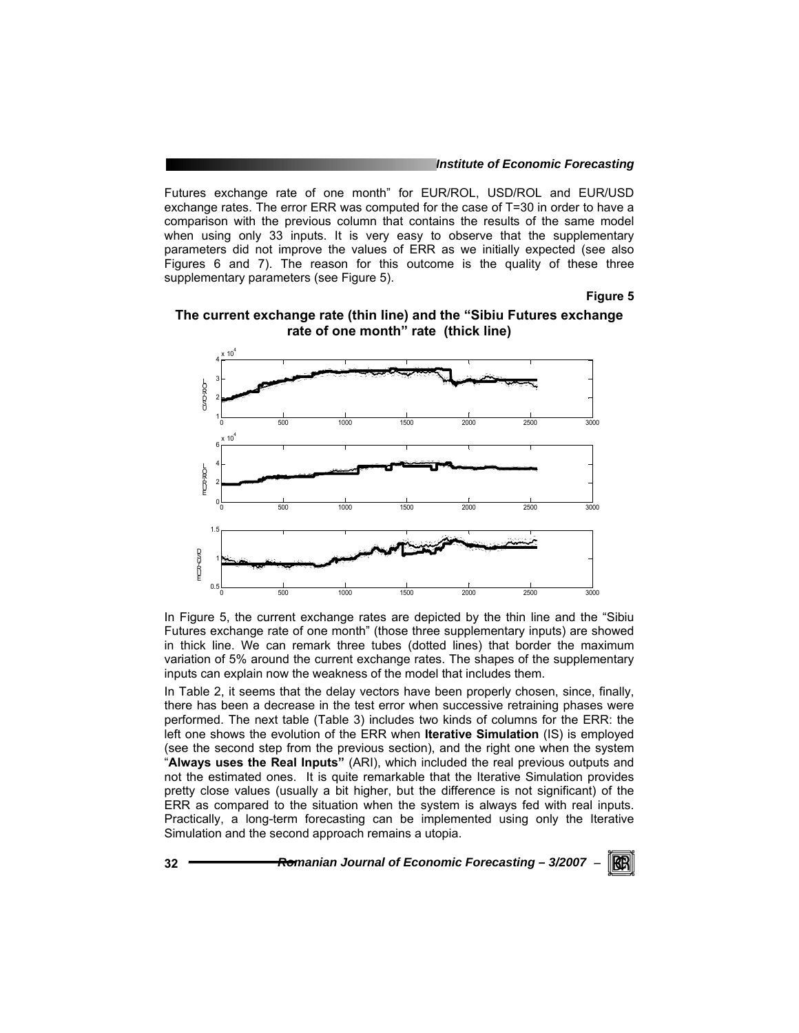Futures exchange rate of one month" for EUR/ROL, USD/ROL and EUR/USD exchange rates. The error ERR was computed for the case of T=30 in order to have a comparison with the previous column that contains the results of the same model when using only 33 inputs. It is very easy to observe that the supplementary parameters did not improve the values of ERR as we initially expected (see also Figures 6 and 7). The reason for this outcome is the quality of these three supplementary parameters (see Figure 5).

**Figure 5** 





In Figure 5, the current exchange rates are depicted by the thin line and the "Sibiu Futures exchange rate of one month" (those three supplementary inputs) are showed in thick line. We can remark three tubes (dotted lines) that border the maximum variation of 5% around the current exchange rates. The shapes of the supplementary inputs can explain now the weakness of the model that includes them.

In Table 2, it seems that the delay vectors have been properly chosen, since, finally, there has been a decrease in the test error when successive retraining phases were performed. The next table (Table 3) includes two kinds of columns for the ERR: the left one shows the evolution of the ERR when **Iterative Simulation** (IS) is employed (see the second step from the previous section), and the right one when the system "**Always uses the Real Inputs"** (ARI), which included the real previous outputs and not the estimated ones. It is quite remarkable that the Iterative Simulation provides pretty close values (usually a bit higher, but the difference is not significant) of the ERR as compared to the situation when the system is always fed with real inputs. Practically, a long-term forecasting can be implemented using only the Iterative Simulation and the second approach remains a utopia.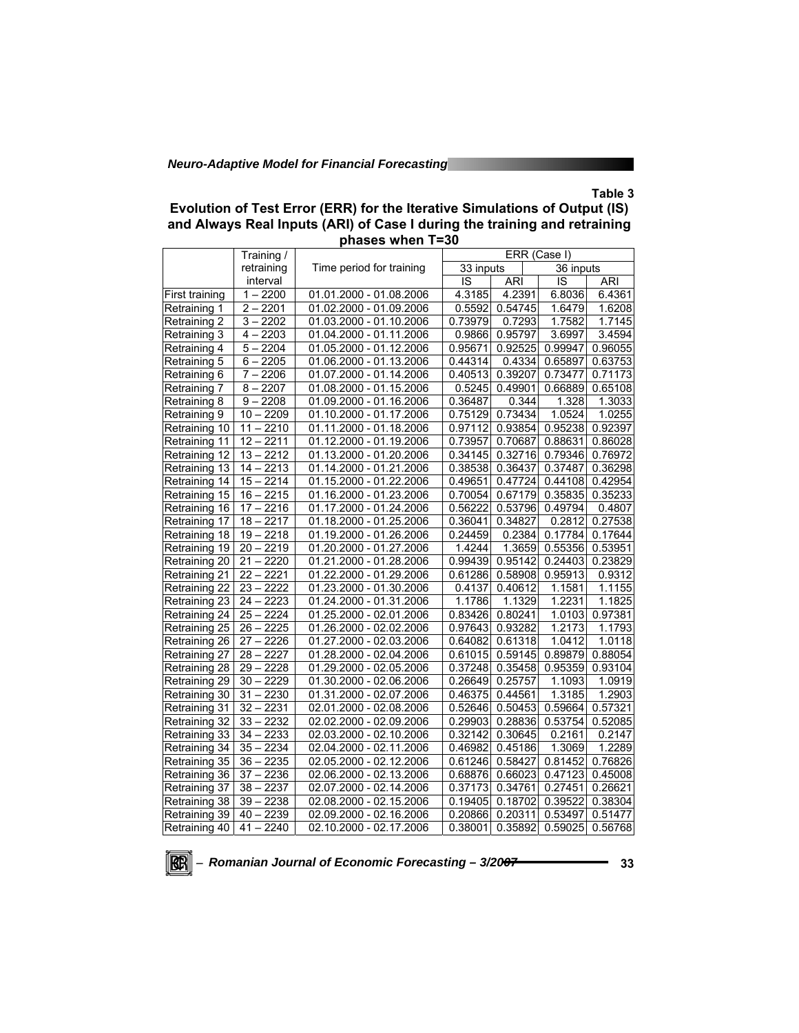### **Table 3**

| Evolution of Test Error (ERR) for the Iterative Simulations of Output (IS) |
|----------------------------------------------------------------------------|
| and Always Real Inputs (ARI) of Case I during the training and retraining  |
| phases when T=30                                                           |

|                       | Training /        |                          | ERR (Case I)<br>33 inputs |            |           |            |
|-----------------------|-------------------|--------------------------|---------------------------|------------|-----------|------------|
|                       | retraining        | Time period for training |                           |            | 36 inputs |            |
|                       | interval          |                          | IS                        | <b>ARI</b> | IS        | <b>ARI</b> |
| <b>First training</b> | $1 - 2200$        | 01.01.2000 - 01.08.2006  | 4.3185                    | 4.2391     | 6.8036    | 6.4361     |
| Retraining 1          | $2 - 2201$        | 01.02.2000 - 01.09.2006  | 0.5592                    | 0.54745    | 1.6479    | 1.6208     |
| Retraining 2          | $3 - 2202$        | 01.03.2000 - 01.10.2006  | 0.73979                   | 0.7293     | 1.7582    | 1.7145     |
| Retraining 3          | $4 - 2203$        | 01.04.2000 - 01.11.2006  | 0.9866                    | 0.95797    | 3.6997    | 3.4594     |
| Retraining 4          | $5 - 2204$        | 01.05.2000 - 01.12.2006  | 0.95671                   | 0.92525    | 0.99947   | 0.96055    |
| Retraining 5          | $6 - 2205$        | 01.06.2000 - 01.13.2006  | 0.44314                   | 0.4334     | 0.65897   | 0.63753    |
| Retraining 6          | $7 - 2206$        | 01.07.2000 - 01.14.2006  | 0.40513                   | 0.39207    | 0.73477   | 0.71173    |
| Retraining 7          | $8 - 2207$        | 01.08.2000 - 01.15.2006  | 0.5245                    | 0.49901    | 0.66889   | 0.65108    |
| Retraining 8          | $\sqrt{9} - 2208$ | 01.09.2000 - 01.16.2006  | 0.36487                   | 0.344      | 1.328     | 1.3033     |
| Retraining 9          | $10 - 2209$       | 01.10.2000 - 01.17.2006  | 0.75129                   | 0.73434    | 1.0524    | 1.0255     |
| Retraining 10         | $11 - 2210$       | 01.11.2000 - 01.18.2006  | 0.97112                   | 0.93854    | 0.95238   | 0.92397    |
| Retraining 11         | $12 - 2211$       | 01.12.2000 - 01.19.2006  | 0.73957                   | 0.70687    | 0.88631   | 0.86028    |
| Retraining 12         | $13 - 2212$       | 01.13.2000 - 01.20.2006  | 0.34145                   | 0.32716    | 0.79346   | 0.76972    |
| Retraining 13         | $14 - 2213$       | 01.14.2000 - 01.21.2006  | 0.38538                   | 0.36437    | 0.37487   | 0.36298    |
| Retraining 14         | $15 - 2214$       | 01.15.2000 - 01.22.2006  | 0.49651                   | 0.47724    | 0.44108   | 0.42954    |
| Retraining 15         | $16 - 2215$       | 01.16.2000 - 01.23.2006  | 0.70054                   | 0.67179    | 0.35835   | 0.35233    |
| Retraining 16         | $17 - 2216$       | 01.17.2000 - 01.24.2006  | 0.56222                   | 0.53796    | 0.49794   | 0.4807     |
| Retraining 17         | $18 - 2217$       | 01.18.2000 - 01.25.2006  | 0.36041                   | 0.34827    | 0.2812    | 0.27538    |
| Retraining 18         | $19 - 2218$       | 01.19.2000 - 01.26.2006  | 0.24459                   | 0.2384     | 0.17784   | 0.17644    |
| Retraining<br>19      | $20 - 2219$       | 01.20.2000 - 01.27.2006  | 1.4244                    | 1.3659     | 0.55356   | 0.53951    |
| Retraining 20         | $21 - 2220$       | 01.21.2000 - 01.28.2006  | 0.99439                   | 0.95142    | 0.24403   | 0.23829    |
| Retraining 21         | $22 - 2221$       | 01.22.2000 - 01.29.2006  | 0.61286                   | 0.58908    | 0.95913   | 0.9312     |
| Retraining 22         | $23 - 2222$       | 01.23.2000 - 01.30.2006  | 0.4137                    | 0.40612    | 1.1581    | 1.1155     |
| Retraining 23         | $24 - 2223$       | 01.24.2000 - 01.31.2006  | 1.1786                    | 1.1329     | 1.2231    | 1.1825     |
| Retraining 24         | $25 - 2224$       | 01.25.2000 - 02.01.2006  | 0.83426                   | 0.80241    | 1.0103    | 0.97381    |
| Retraining 25         | $26 - 2225$       | 01.26.2000 - 02.02.2006  | 0.97643                   | 0.93282    | 1.2173    | 1.1793     |
| Retraining 26         | $27 - 2226$       | 01.27.2000 - 02.03.2006  | 0.64082                   | 0.61318    | 1.0412    | 1.0118     |
| Retraining 27         | $28 - 2227$       | 01.28.2000 - 02.04.2006  | 0.61015                   | 0.59145    | 0.89879   | 0.88054    |
| Retraining 28         | $29 - 2228$       | 01.29.2000 - 02.05.2006  | 0.37248                   | 0.35458    | 0.95359   | 0.93104    |
| Retraining 29         | $30 - 2229$       | 01.30.2000 - 02.06.2006  | 0.26649                   | 0.25757    | 1.1093    | 1.0919     |
| Retraining 30         | $31 - 2230$       | 01.31.2000 - 02.07.2006  | 0.46375                   | 0.44561    | 1.3185    | 1.2903     |
| Retraining 31         | $32 - 2231$       | 02.01.2000 - 02.08.2006  | 0.52646                   | 0.50453    | 0.59664   | 0.57321    |
| Retraining 32         | $33 - 2232$       | 02.02.2000 - 02.09.2006  | 0.29903                   | 0.28836    | 0.53754   | 0.52085    |
| Retraining 33         | $34 - 2233$       | 02.03.2000 - 02.10.2006  | 0.32142                   | 0.30645    | 0.2161    | 0.2147     |
| Retraining 34         | $35 - 2234$       | 02.04.2000 - 02.11.2006  | 0.46982                   | 0.45186    | 1.3069    | 1.2289     |
| Retraining 35         | $36 - 2235$       | 02.05.2000 - 02.12.2006  | 0.61246                   | 0.58427    | 0.81452   | 0.76826    |
| Retraining 36         | $37 - 2236$       | 02.06.2000 - 02.13.2006  | 0.68876                   | 0.66023    | 0.47123   | 0.45008    |
| Retraining 37         | $38 - 2237$       | 02.07.2000 - 02.14.2006  | 0.37173                   | 0.34761    | 0.27451   | 0.26621    |
| Retraining 38         | $39 - 2238$       | 02.08.2000 - 02.15.2006  | 0.19405                   | 0.18702    | 0.39522   | 0.38304    |
| 39<br>Retraining      | $40 - 2239$       | 02.09.2000 - 02.16.2006  | 0.20866                   | 0.20311    | 0.53497   | 0.51477    |
| Retraining 40         | $41 - 2240$       | 02.10.2000 - 02.17.2006  | 0.38001                   | 0.35892    | 0.59025   | 0.56768    |

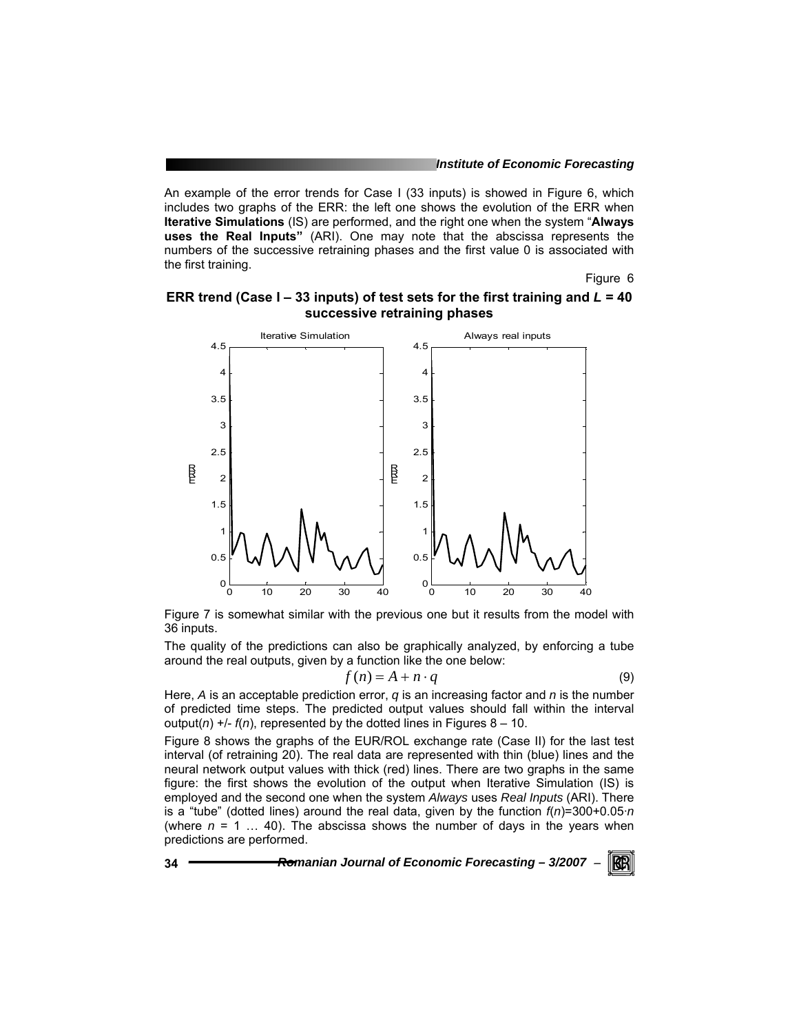An example of the error trends for Case I (33 inputs) is showed in Figure 6, which includes two graphs of the ERR: the left one shows the evolution of the ERR when **Iterative Simulations** (IS) are performed, and the right one when the system "**Always uses the Real Inputs"** (ARI). One may note that the abscissa represents the numbers of the successive retraining phases and the first value 0 is associated with the first training.

Figure 6

#### **ERR trend (Case I – 33 inputs) of test sets for the first training and** *L* **= 40 successive retraining phases**



Figure 7 is somewhat similar with the previous one but it results from the model with 36 inputs.

The quality of the predictions can also be graphically analyzed, by enforcing a tube around the real outputs, given by a function like the one below:

$$
f(n) = A + n \cdot q \tag{9}
$$

Here, *A* is an acceptable prediction error, *q* is an increasing factor and *n* is the number of predicted time steps. The predicted output values should fall within the interval output( $n$ ) +/-  $f(n)$ , represented by the dotted lines in Figures 8 - 10.

Figure 8 shows the graphs of the EUR/ROL exchange rate (Case II) for the last test interval (of retraining 20). The real data are represented with thin (blue) lines and the neural network output values with thick (red) lines. There are two graphs in the same figure: the first shows the evolution of the output when Iterative Simulation (IS) is employed and the second one when the system *Always* uses *Real Inputs* (ARI). There is a "tube" (dotted lines) around the real data, given by the function *f*(*n*)=300+0.05·*n* (where  $n = 1$  ... 40). The abscissa shows the number of days in the years when predictions are performed.

$$
34
$$

**34** *Romanian Journal of Economic Forecasting – 3/2007* <sup>−</sup>

KRI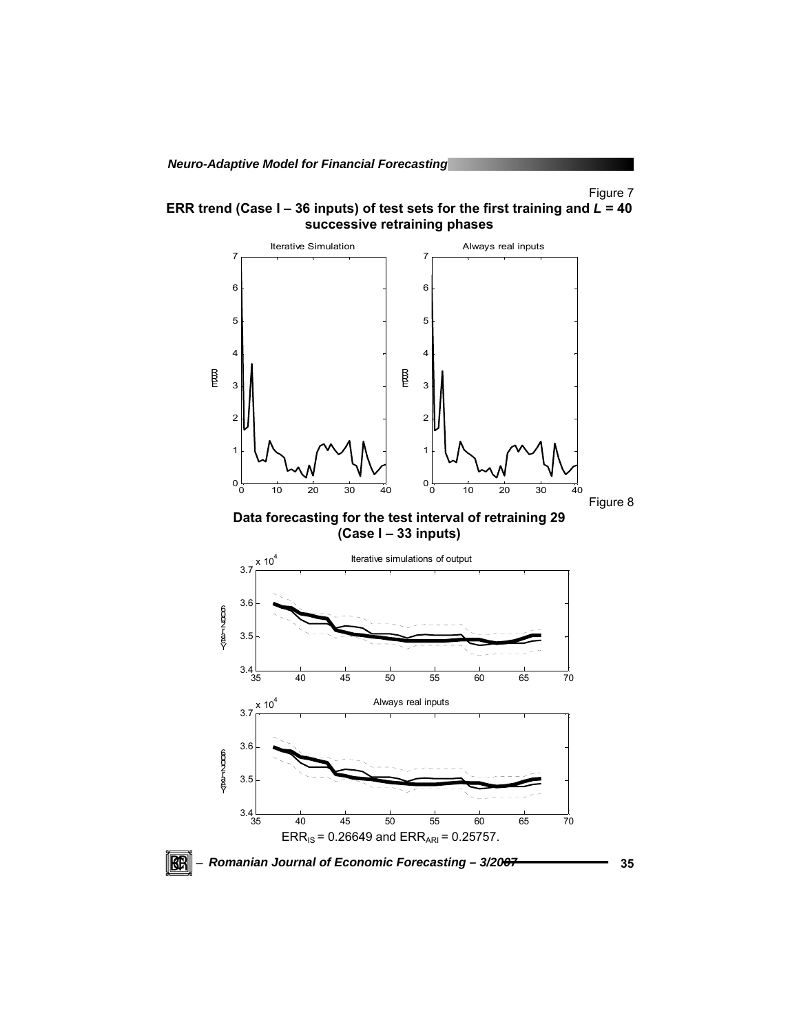Figure 7

**ERR trend (Case I – 36 inputs) of test sets for the first training and** *L* **= 40 successive retraining phases** 

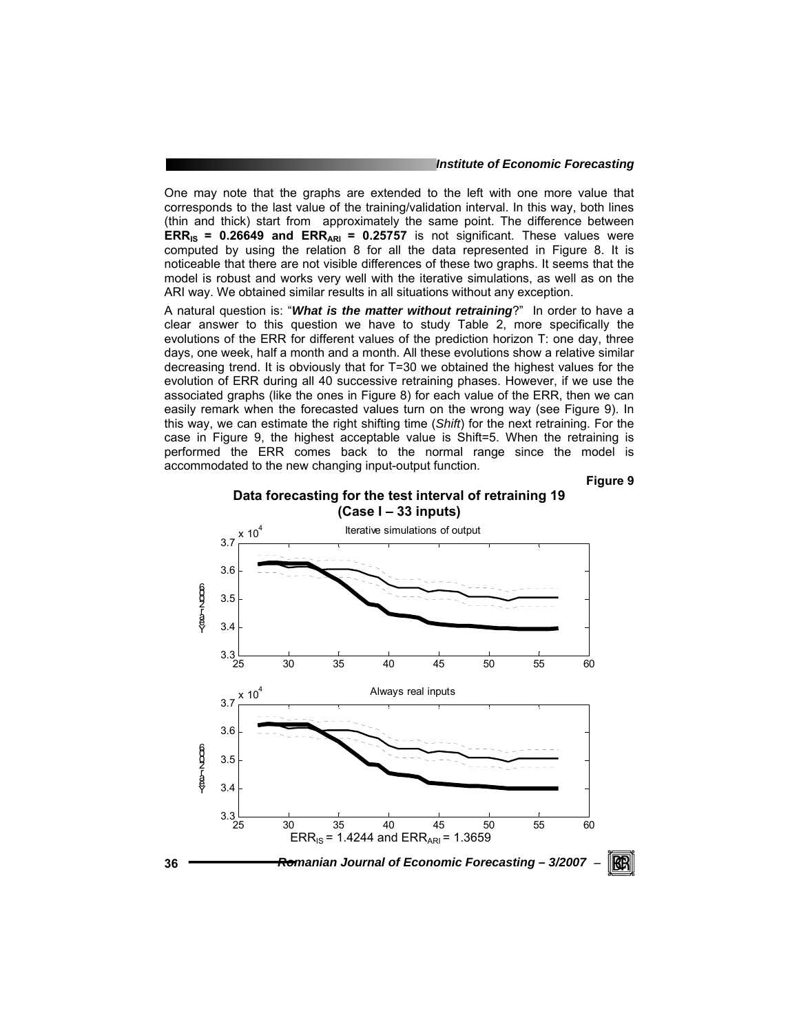#### *Institute of Economic Forecasting*

One may note that the graphs are extended to the left with one more value that corresponds to the last value of the training/validation interval. In this way, both lines (thin and thick) start from approximately the same point. The difference between **ERR<sub>IS</sub> = 0.26649 and ERR<sub>ARI</sub> = 0.25757** is not significant. These values were computed by using the relation 8 for all the data represented in Figure 8. It is noticeable that there are not visible differences of these two graphs. It seems that the model is robust and works very well with the iterative simulations, as well as on the ARI way. We obtained similar results in all situations without any exception.

A natural question is: "*What is the matter without retraining*?" In order to have a clear answer to this question we have to study Table 2, more specifically the evolutions of the ERR for different values of the prediction horizon T: one day, three days, one week, half a month and a month. All these evolutions show a relative similar decreasing trend. It is obviously that for T=30 we obtained the highest values for the evolution of ERR during all 40 successive retraining phases. However, if we use the associated graphs (like the ones in Figure 8) for each value of the ERR, then we can easily remark when the forecasted values turn on the wrong way (see Figure 9). In this way, we can estimate the right shifting time (*Shift*) for the next retraining. For the case in Figure 9, the highest acceptable value is Shift=5. When the retraining is performed the ERR comes back to the normal range since the model is accommodated to the new changing input-output function.

**Figure 9** 

#### **Data forecasting for the test interval of retraining 19 (Case I – 33 inputs)**

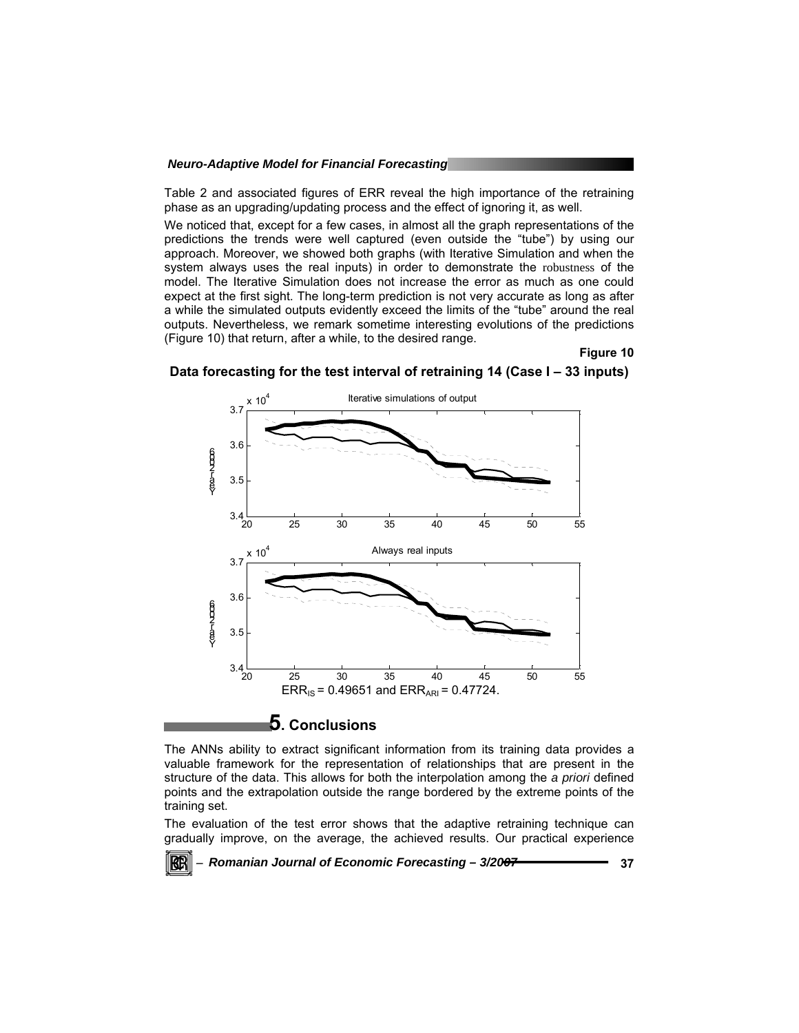Table 2 and associated figures of ERR reveal the high importance of the retraining phase as an upgrading/updating process and the effect of ignoring it, as well.

We noticed that, except for a few cases, in almost all the graph representations of the predictions the trends were well captured (even outside the "tube") by using our approach. Moreover, we showed both graphs (with Iterative Simulation and when the system always uses the real inputs) in order to demonstrate the robustness of the model. The Iterative Simulation does not increase the error as much as one could expect at the first sight. The long-term prediction is not very accurate as long as after a while the simulated outputs evidently exceed the limits of the "tube" around the real outputs. Nevertheless, we remark sometime interesting evolutions of the predictions (Figure 10) that return, after a while, to the desired range.

#### **Figure 10**



**Data forecasting for the test interval of retraining 14 (Case I – 33 inputs)** 

### **5. Conclusions**

The ANNs ability to extract significant information from its training data provides a valuable framework for the representation of relationships that are present in the structure of the data. This allows for both the interpolation among the *a priori* defined points and the extrapolation outside the range bordered by the extreme points of the training set.

The evaluation of the test error shows that the adaptive retraining technique can gradually improve, on the average, the achieved results. Our practical experience

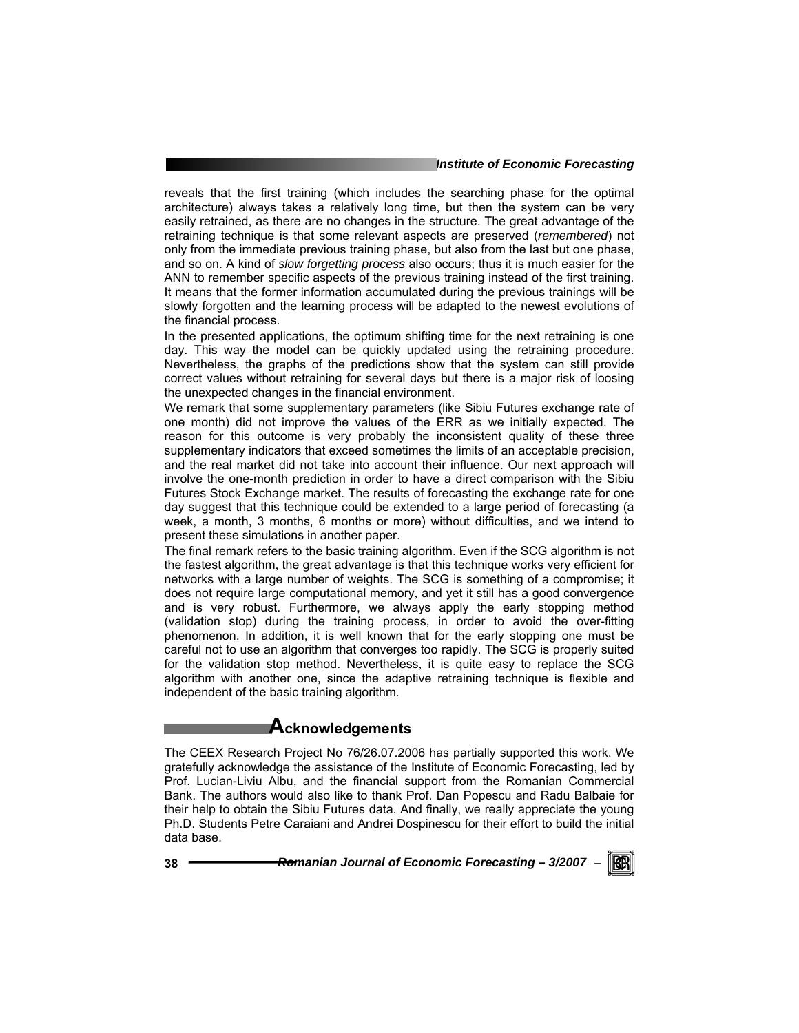#### *Institute of Economic Forecasting*

reveals that the first training (which includes the searching phase for the optimal architecture) always takes a relatively long time, but then the system can be very easily retrained, as there are no changes in the structure. The great advantage of the retraining technique is that some relevant aspects are preserved (*remembered*) not only from the immediate previous training phase, but also from the last but one phase, and so on. A kind of *slow forgetting process* also occurs; thus it is much easier for the ANN to remember specific aspects of the previous training instead of the first training. It means that the former information accumulated during the previous trainings will be slowly forgotten and the learning process will be adapted to the newest evolutions of the financial process.

In the presented applications, the optimum shifting time for the next retraining is one day. This way the model can be quickly updated using the retraining procedure. Nevertheless, the graphs of the predictions show that the system can still provide correct values without retraining for several days but there is a major risk of loosing the unexpected changes in the financial environment.

We remark that some supplementary parameters (like Sibiu Futures exchange rate of one month) did not improve the values of the ERR as we initially expected. The reason for this outcome is very probably the inconsistent quality of these three supplementary indicators that exceed sometimes the limits of an acceptable precision, and the real market did not take into account their influence. Our next approach will involve the one-month prediction in order to have a direct comparison with the Sibiu Futures Stock Exchange market. The results of forecasting the exchange rate for one day suggest that this technique could be extended to a large period of forecasting (a week, a month, 3 months, 6 months or more) without difficulties, and we intend to present these simulations in another paper.

The final remark refers to the basic training algorithm. Even if the SCG algorithm is not the fastest algorithm, the great advantage is that this technique works very efficient for networks with a large number of weights. The SCG is something of a compromise; it does not require large computational memory, and yet it still has a good convergence and is very robust. Furthermore, we always apply the early stopping method (validation stop) during the training process, in order to avoid the over-fitting phenomenon. In addition, it is well known that for the early stopping one must be careful not to use an algorithm that converges too rapidly. The SCG is properly suited for the validation stop method. Nevertheless, it is quite easy to replace the SCG algorithm with another one, since the adaptive retraining technique is flexible and independent of the basic training algorithm.

### **Acknowledgements**

The CEEX Research Project No 76/26.07.2006 has partially supported this work. We gratefully acknowledge the assistance of the Institute of Economic Forecasting, led by Prof. Lucian-Liviu Albu, and the financial support from the Romanian Commercial Bank. The authors would also like to thank Prof. Dan Popescu and Radu Balbaie for their help to obtain the Sibiu Futures data. And finally, we really appreciate the young Ph.D. Students Petre Caraiani and Andrei Dospinescu for their effort to build the initial data base.

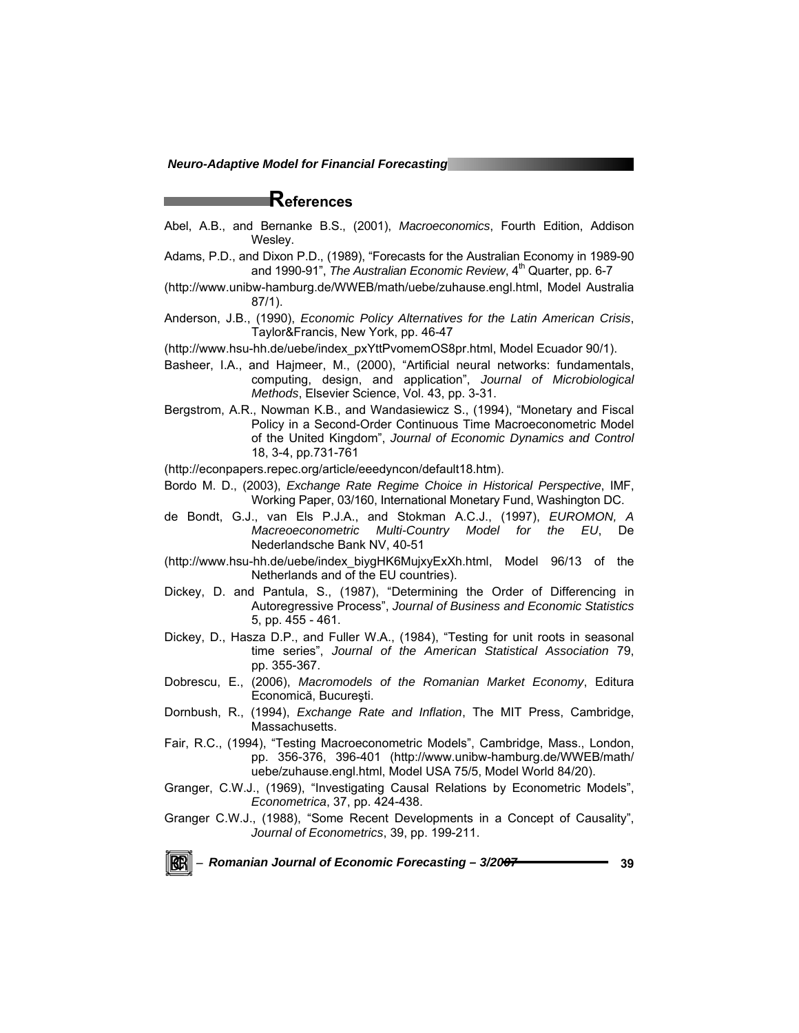## **References**

- Abel, A.B., and Bernanke B.S., (2001), *Macroeconomics*, Fourth Edition, Addison Wesley.
- Adams, P.D., and Dixon P.D., (1989), "Forecasts for the Australian Economy in 1989-90 and 1990-91", *The Australian Economic Review*, 4<sup>th</sup> Quarter, pp. 6-7
- (http://www.unibw-hamburg.de/WWEB/math/uebe/zuhause.engl.html, Model Australia 87/1).
- Anderson, J.B., (1990), *Economic Policy Alternatives for the Latin American Crisis*, Taylor&Francis, New York, pp. 46-47
- (http://www.hsu-hh.de/uebe/index\_pxYttPvomemOS8pr.html, Model Ecuador 90/1).
- Basheer, I.A., and Hajmeer, M., (2000), "Artificial neural networks: fundamentals, computing, design, and application", *Journal of Microbiological Methods*, Elsevier Science, Vol. 43, pp. 3-31.
- Bergstrom, A.R., Nowman K.B., and Wandasiewicz S., (1994), "Monetary and Fiscal Policy in a Second-Order Continuous Time Macroeconometric Model of the United Kingdom", *Journal of Economic Dynamics and Control* 18, 3-4, pp.731-761
- (http://econpapers.repec.org/article/eeedyncon/default18.htm).
- Bordo M. D., (2003), *Exchange Rate Regime Choice in Historical Perspective*, IMF, Working Paper, 03/160, International Monetary Fund, Washington DC.
- de Bondt, G.J., van Els P.J.A., and Stokman A.C.J., (1997), *EUROMON, A Macreoeconometric Multi-Country Model for the EU*, De Nederlandsche Bank NV, 40-51
- (http://www.hsu-hh.de/uebe/index\_biygHK6MujxyExXh.html, Model 96/13 of the Netherlands and of the EU countries).
- Dickey, D. and Pantula, S., (1987), "Determining the Order of Differencing in Autoregressive Process", *Journal of Business and Economic Statistics* 5, pp. 455 - 461.
- Dickey, D., Hasza D.P., and Fuller W.A., (1984), "Testing for unit roots in seasonal time series", *Journal of the American Statistical Association* 79, pp. 355-367.
- Dobrescu, E., (2006), *Macromodels of the Romanian Market Economy*, Editura Economică, Bucureşti.
- Dornbush, R., (1994), *Exchange Rate and Inflation*, The MIT Press, Cambridge, Massachusetts.
- Fair, R.C., (1994), "Testing Macroeconometric Models", Cambridge, Mass., London, pp. 356-376, 396-401 (http://www.unibw-hamburg.de/WWEB/math/ uebe/zuhause.engl.html, Model USA 75/5, Model World 84/20).
- Granger, C.W.J., (1969), "Investigating Causal Relations by Econometric Models", *Econometrica*, 37, pp. 424-438.
- Granger C.W.J., (1988), "Some Recent Developments in a Concept of Causality", *Journal of Econometrics*, 39, pp. 199-211.

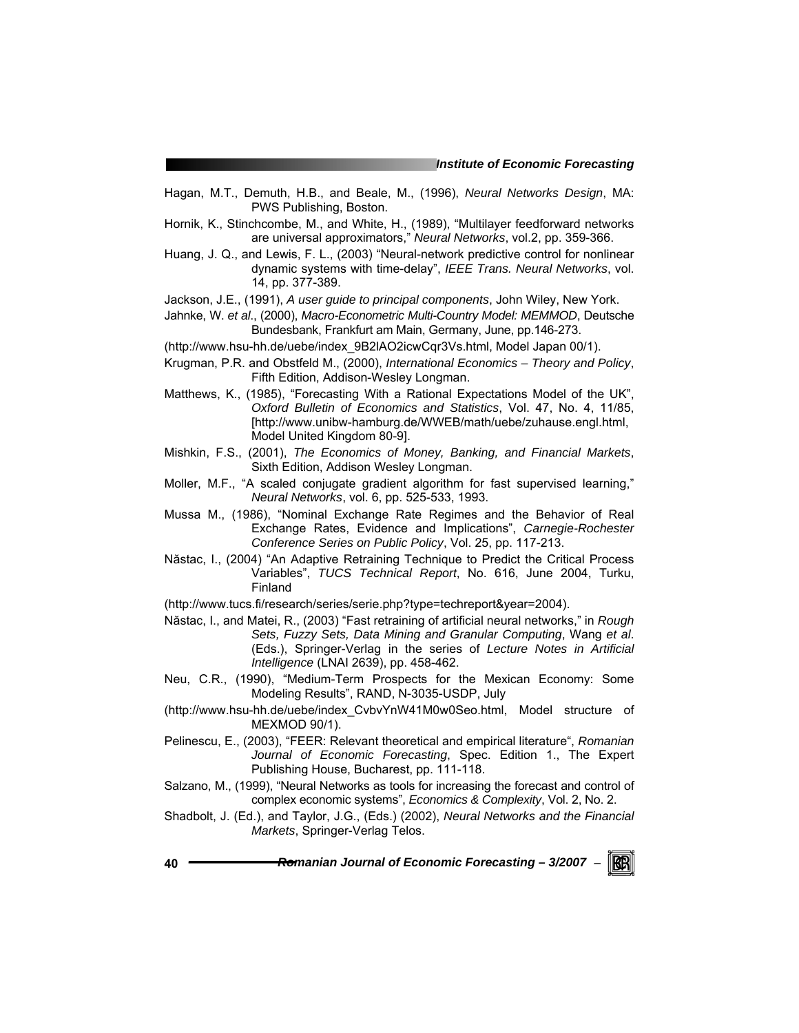- Hagan, M.T., Demuth, H.B., and Beale, M., (1996), *Neural Networks Design*, MA: PWS Publishing, Boston.
- Hornik, K., Stinchcombe, M., and White, H., (1989), "Multilayer feedforward networks are universal approximators," *Neural Networks*, vol.2, pp. 359-366.
- Huang, J. Q., and Lewis, F. L., (2003) "Neural-network predictive control for nonlinear dynamic systems with time-delay", *IEEE Trans. Neural Networks*, vol. 14, pp. 377-389.
- Jackson, J.E., (1991), *A user guide to principal components*, John Wiley, New York.
- Jahnke, W. *et al*., (2000), *Macro-Econometric Multi-Country Model: MEMMOD*, Deutsche Bundesbank, Frankfurt am Main, Germany, June, pp.146-273.
- (http://www.hsu-hh.de/uebe/index\_9B2lAO2icwCqr3Vs.html, Model Japan 00/1).
- Krugman, P.R. and Obstfeld M., (2000), *International Economics Theory and Policy*, Fifth Edition, Addison-Wesley Longman.
- Matthews, K., (1985), "Forecasting With a Rational Expectations Model of the UK", *Oxford Bulletin of Economics and Statistics*, Vol. 47, No. 4, 11/85, [http://www.unibw-hamburg.de/WWEB/math/uebe/zuhause.engl.html, Model United Kingdom 80-9].
- Mishkin, F.S., (2001), *The Economics of Money, Banking, and Financial Markets*, Sixth Edition, Addison Wesley Longman.
- Moller, M.F., "A scaled conjugate gradient algorithm for fast supervised learning," *Neural Networks*, vol. 6, pp. 525-533, 1993.
- Mussa M., (1986), "Nominal Exchange Rate Regimes and the Behavior of Real Exchange Rates, Evidence and Implications", *Carnegie-Rochester Conference Series on Public Policy*, Vol. 25, pp. 117-213.
- Năstac, I., (2004) "An Adaptive Retraining Technique to Predict the Critical Process Variables", *TUCS Technical Report*, No. 616, June 2004, Turku, Finland
- (http://www.tucs.fi/research/series/serie.php?type=techreport&year=2004).
- Năstac, I., and Matei, R., (2003) "Fast retraining of artificial neural networks," in *Rough Sets, Fuzzy Sets, Data Mining and Granular Computing*, Wang *et al*. (Eds.), Springer-Verlag in the series of *Lecture Notes in Artificial Intelligence* (LNAI 2639), pp. 458-462.
- Neu, C.R., (1990), "Medium-Term Prospects for the Mexican Economy: Some Modeling Results", RAND, N-3035-USDP, July
- (http://www.hsu-hh.de/uebe/index\_CvbvYnW41M0w0Seo.html, Model structure of MEXMOD 90/1).
- Pelinescu, E., (2003), "FEER: Relevant theoretical and empirical literature", *Romanian Journal of Economic Forecasting*, Spec. Edition 1., The Expert Publishing House, Bucharest, pp. 111-118.
- Salzano, M., (1999), "Neural Networks as tools for increasing the forecast and control of complex economic systems", *Economics & Complexity*, Vol. 2, No. 2.
- Shadbolt, J. (Ed.), and Taylor, J.G., (Eds.) (2002), *Neural Networks and the Financial Markets*, Springer-Verlag Telos.
- **40** *Romanian Journal of Economic Forecasting 3/2007* <sup>−</sup> KB